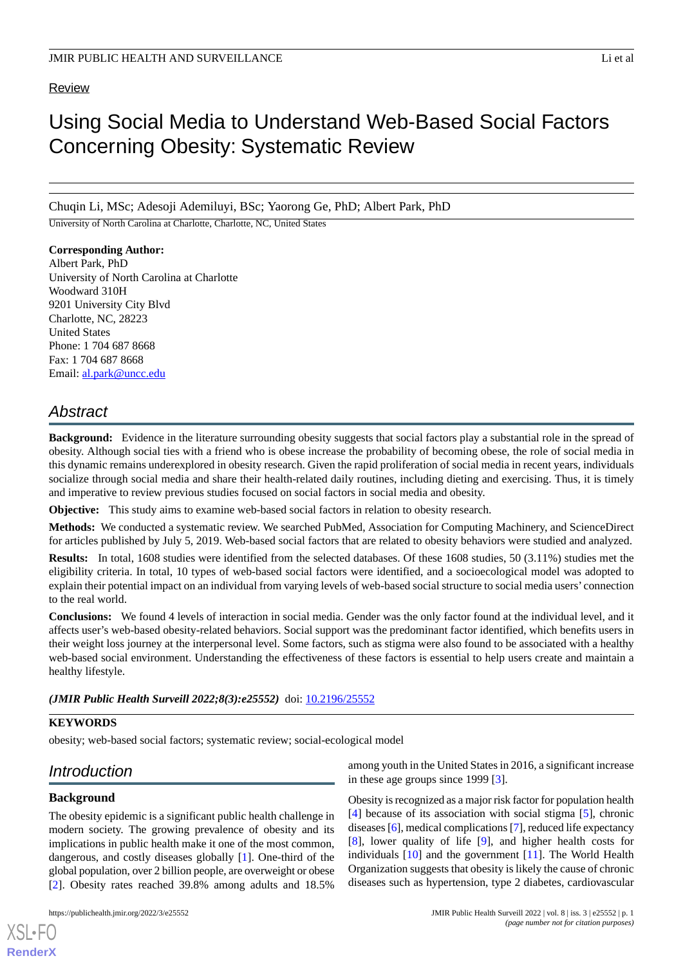## Review

# Using Social Media to Understand Web-Based Social Factors Concerning Obesity: Systematic Review

Chuqin Li, MSc; Adesoji Ademiluyi, BSc; Yaorong Ge, PhD; Albert Park, PhD

University of North Carolina at Charlotte, Charlotte, NC, United States

## **Corresponding Author:**

Albert Park, PhD University of North Carolina at Charlotte Woodward 310H 9201 University City Blvd Charlotte, NC, 28223 United States Phone: 1 704 687 8668 Fax: 1 704 687 8668 Email: [al.park@uncc.edu](mailto:al.park@uncc.edu)

# *Abstract*

**Background:** Evidence in the literature surrounding obesity suggests that social factors play a substantial role in the spread of obesity. Although social ties with a friend who is obese increase the probability of becoming obese, the role of social media in this dynamic remains underexplored in obesity research. Given the rapid proliferation of social media in recent years, individuals socialize through social media and share their health-related daily routines, including dieting and exercising. Thus, it is timely and imperative to review previous studies focused on social factors in social media and obesity.

**Objective:** This study aims to examine web-based social factors in relation to obesity research.

**Methods:** We conducted a systematic review. We searched PubMed, Association for Computing Machinery, and ScienceDirect for articles published by July 5, 2019. Web-based social factors that are related to obesity behaviors were studied and analyzed.

**Results:** In total, 1608 studies were identified from the selected databases. Of these 1608 studies, 50 (3.11%) studies met the eligibility criteria. In total, 10 types of web-based social factors were identified, and a socioecological model was adopted to explain their potential impact on an individual from varying levels of web-based social structure to social media users' connection to the real world.

**Conclusions:** We found 4 levels of interaction in social media. Gender was the only factor found at the individual level, and it affects user's web-based obesity-related behaviors. Social support was the predominant factor identified, which benefits users in their weight loss journey at the interpersonal level. Some factors, such as stigma were also found to be associated with a healthy web-based social environment. Understanding the effectiveness of these factors is essential to help users create and maintain a healthy lifestyle.

*(JMIR Public Health Surveill 2022;8(3):e25552)* doi: [10.2196/25552](http://dx.doi.org/10.2196/25552)

## **KEYWORDS**

obesity; web-based social factors; systematic review; social-ecological model

# *Introduction*

# **Background**

The obesity epidemic is a significant public health challenge in modern society. The growing prevalence of obesity and its implications in public health make it one of the most common, dangerous, and costly diseases globally [[1\]](#page-18-0). One-third of the global population, over 2 billion people, are overweight or obese [[2\]](#page-18-1). Obesity rates reached 39.8% among adults and 18.5%

among youth in the United States in 2016, a significant increase in these age groups since 1999 [[3\]](#page-18-2).

Obesity is recognized as a major risk factor for population health [[4\]](#page-18-3) because of its association with social stigma [\[5](#page-18-4)], chronic diseases [\[6](#page-18-5)], medical complications [[7\]](#page-18-6), reduced life expectancy [[8\]](#page-18-7), lower quality of life [[9](#page-18-8)], and higher health costs for individuals [[10\]](#page-18-9) and the government [[11\]](#page-18-10). The World Health Organization suggests that obesity is likely the cause of chronic diseases such as hypertension, type 2 diabetes, cardiovascular

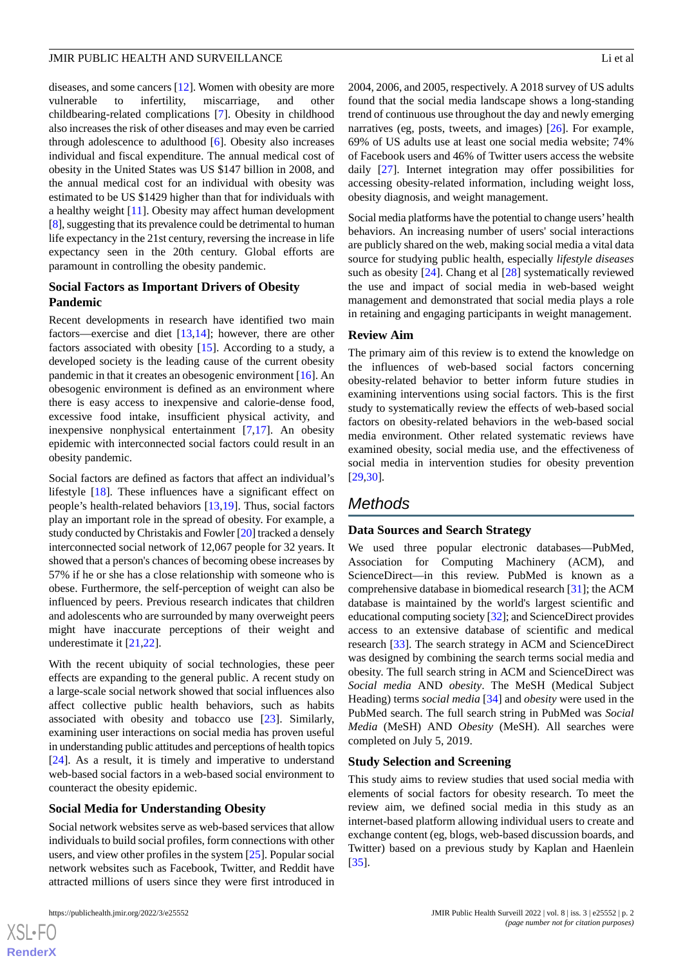diseases, and some cancers [\[12](#page-18-11)]. Women with obesity are more vulnerable to infertility, miscarriage, and other childbearing-related complications [\[7](#page-18-6)]. Obesity in childhood also increases the risk of other diseases and may even be carried through adolescence to adulthood [[6\]](#page-18-5). Obesity also increases individual and fiscal expenditure. The annual medical cost of obesity in the United States was US \$147 billion in 2008, and the annual medical cost for an individual with obesity was estimated to be US \$1429 higher than that for individuals with a healthy weight [\[11](#page-18-10)]. Obesity may affect human development [[8\]](#page-18-7), suggesting that its prevalence could be detrimental to human life expectancy in the 21st century, reversing the increase in life expectancy seen in the 20th century. Global efforts are paramount in controlling the obesity pandemic.

## **Social Factors as Important Drivers of Obesity Pandemic**

Recent developments in research have identified two main factors—exercise and diet [[13,](#page-18-12)[14](#page-18-13)]; however, there are other factors associated with obesity [\[15](#page-18-14)]. According to a study, a developed society is the leading cause of the current obesity pandemic in that it creates an obesogenic environment [[16\]](#page-18-15). An obesogenic environment is defined as an environment where there is easy access to inexpensive and calorie-dense food, excessive food intake, insufficient physical activity, and inexpensive nonphysical entertainment [[7](#page-18-6)[,17](#page-18-16)]. An obesity epidemic with interconnected social factors could result in an obesity pandemic.

Social factors are defined as factors that affect an individual's lifestyle [\[18](#page-18-17)]. These influences have a significant effect on people's health-related behaviors [[13,](#page-18-12)[19](#page-19-0)]. Thus, social factors play an important role in the spread of obesity. For example, a study conducted by Christakis and Fowler [[20\]](#page-19-1) tracked a densely interconnected social network of 12,067 people for 32 years. It showed that a person's chances of becoming obese increases by 57% if he or she has a close relationship with someone who is obese. Furthermore, the self-perception of weight can also be influenced by peers. Previous research indicates that children and adolescents who are surrounded by many overweight peers might have inaccurate perceptions of their weight and underestimate it [\[21](#page-19-2)[,22](#page-19-3)].

With the recent ubiquity of social technologies, these peer effects are expanding to the general public. A recent study on a large-scale social network showed that social influences also affect collective public health behaviors, such as habits associated with obesity and tobacco use [\[23](#page-19-4)]. Similarly, examining user interactions on social media has proven useful in understanding public attitudes and perceptions of health topics [[24\]](#page-19-5). As a result, it is timely and imperative to understand web-based social factors in a web-based social environment to counteract the obesity epidemic.

## **Social Media for Understanding Obesity**

Social network websites serve as web-based services that allow individuals to build social profiles, form connections with other users, and view other profiles in the system [\[25](#page-19-6)]. Popular social network websites such as Facebook, Twitter, and Reddit have attracted millions of users since they were first introduced in

2004, 2006, and 2005, respectively. A 2018 survey of US adults found that the social media landscape shows a long-standing trend of continuous use throughout the day and newly emerging narratives (eg, posts, tweets, and images) [[26\]](#page-19-7). For example, 69% of US adults use at least one social media website; 74% of Facebook users and 46% of Twitter users access the website daily [[27\]](#page-19-8). Internet integration may offer possibilities for accessing obesity-related information, including weight loss, obesity diagnosis, and weight management.

Social media platforms have the potential to change users'health behaviors. An increasing number of users' social interactions are publicly shared on the web, making social media a vital data source for studying public health, especially *lifestyle diseases* such as obesity [\[24](#page-19-5)]. Chang et al [[28\]](#page-19-9) systematically reviewed the use and impact of social media in web-based weight management and demonstrated that social media plays a role in retaining and engaging participants in weight management.

## **Review Aim**

The primary aim of this review is to extend the knowledge on the influences of web-based social factors concerning obesity-related behavior to better inform future studies in examining interventions using social factors. This is the first study to systematically review the effects of web-based social factors on obesity-related behaviors in the web-based social media environment. Other related systematic reviews have examined obesity, social media use, and the effectiveness of social media in intervention studies for obesity prevention [[29,](#page-19-10)[30\]](#page-19-11).

# *Methods*

## **Data Sources and Search Strategy**

We used three popular electronic databases—PubMed, Association for Computing Machinery (ACM), and ScienceDirect—in this review. PubMed is known as a comprehensive database in biomedical research [[31\]](#page-19-12); the ACM database is maintained by the world's largest scientific and educational computing society [\[32\]](#page-19-13); and ScienceDirect provides access to an extensive database of scientific and medical research [\[33](#page-19-14)]. The search strategy in ACM and ScienceDirect was designed by combining the search terms social media and obesity. The full search string in ACM and ScienceDirect was *Social media* AND *obesity*. The MeSH (Medical Subject Heading) terms *social media* [\[34](#page-19-15)] and *obesity* were used in the PubMed search. The full search string in PubMed was *Social Media* (MeSH) AND *Obesity* (MeSH). All searches were completed on July 5, 2019.

## **Study Selection and Screening**

This study aims to review studies that used social media with elements of social factors for obesity research. To meet the review aim, we defined social media in this study as an internet-based platform allowing individual users to create and exchange content (eg, blogs, web-based discussion boards, and Twitter) based on a previous study by Kaplan and Haenlein [[35\]](#page-19-16).

```
XSI - F(RenderX
```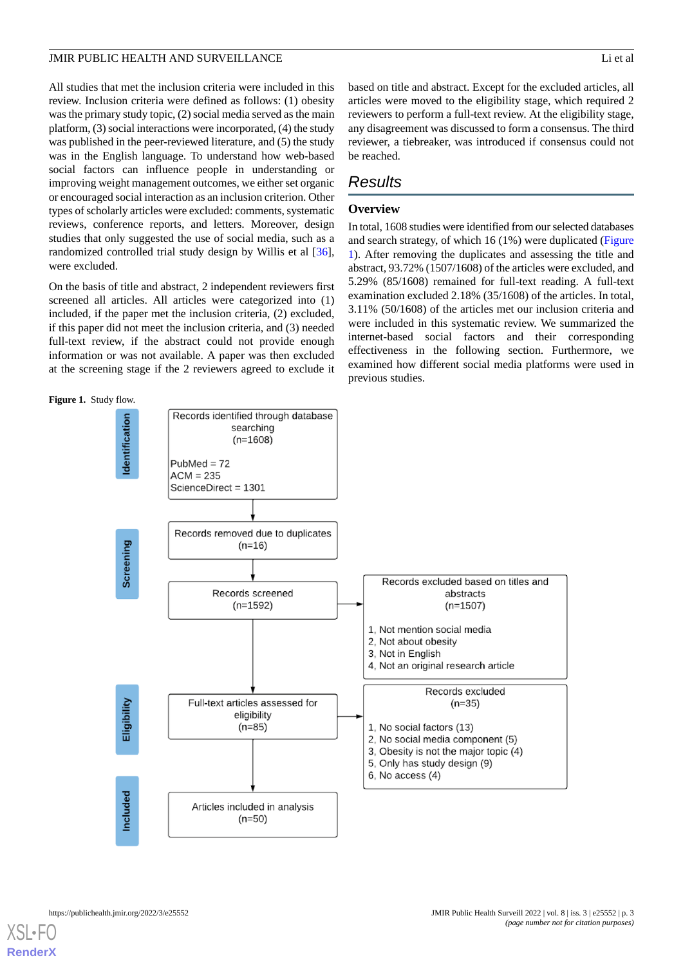All studies that met the inclusion criteria were included in this review. Inclusion criteria were defined as follows: (1) obesity was the primary study topic, (2) social media served as the main platform, (3) social interactions were incorporated, (4) the study was published in the peer-reviewed literature, and (5) the study was in the English language. To understand how web-based social factors can influence people in understanding or improving weight management outcomes, we either set organic or encouraged social interaction as an inclusion criterion. Other types of scholarly articles were excluded: comments, systematic reviews, conference reports, and letters. Moreover, design studies that only suggested the use of social media, such as a randomized controlled trial study design by Willis et al [[36\]](#page-19-17), were excluded.

On the basis of title and abstract, 2 independent reviewers first screened all articles. All articles were categorized into (1) included, if the paper met the inclusion criteria, (2) excluded, if this paper did not meet the inclusion criteria, and (3) needed full-text review, if the abstract could not provide enough information or was not available. A paper was then excluded at the screening stage if the 2 reviewers agreed to exclude it

<span id="page-2-0"></span>

based on title and abstract. Except for the excluded articles, all articles were moved to the eligibility stage, which required 2 reviewers to perform a full-text review. At the eligibility stage, any disagreement was discussed to form a consensus. The third reviewer, a tiebreaker, was introduced if consensus could not be reached.

## *Results*

## **Overview**

In total, 1608 studies were identified from our selected databases and search strategy, of which 16 (1%) were duplicated ([Figure](#page-2-0) [1\)](#page-2-0). After removing the duplicates and assessing the title and abstract, 93.72% (1507/1608) of the articles were excluded, and 5.29% (85/1608) remained for full-text reading. A full-text examination excluded 2.18% (35/1608) of the articles. In total, 3.11% (50/1608) of the articles met our inclusion criteria and were included in this systematic review. We summarized the internet-based social factors and their corresponding effectiveness in the following section. Furthermore, we examined how different social media platforms were used in previous studies.

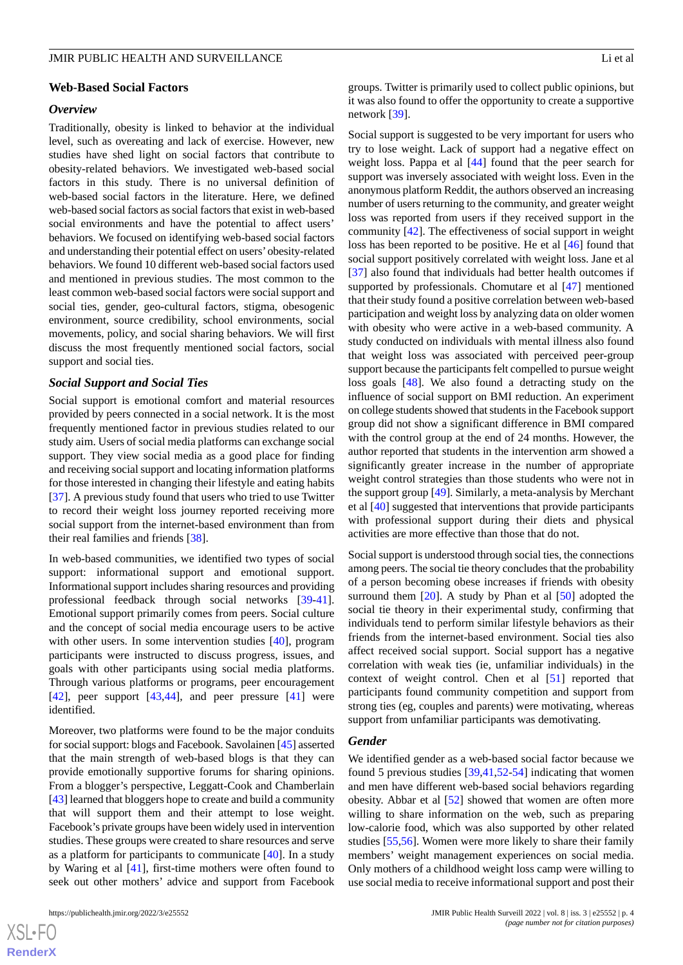#### **Web-Based Social Factors**

## *Overview*

Traditionally, obesity is linked to behavior at the individual level, such as overeating and lack of exercise. However, new studies have shed light on social factors that contribute to obesity-related behaviors. We investigated web-based social factors in this study. There is no universal definition of web-based social factors in the literature. Here, we defined web-based social factors as social factors that exist in web-based social environments and have the potential to affect users' behaviors. We focused on identifying web-based social factors and understanding their potential effect on users'obesity-related behaviors. We found 10 different web-based social factors used and mentioned in previous studies. The most common to the least common web-based social factors were social support and social ties, gender, geo-cultural factors, stigma, obesogenic environment, source credibility, school environments, social movements, policy, and social sharing behaviors. We will first discuss the most frequently mentioned social factors, social support and social ties.

## *Social Support and Social Ties*

Social support is emotional comfort and material resources provided by peers connected in a social network. It is the most frequently mentioned factor in previous studies related to our study aim. Users of social media platforms can exchange social support. They view social media as a good place for finding and receiving social support and locating information platforms for those interested in changing their lifestyle and eating habits [[37\]](#page-19-18). A previous study found that users who tried to use Twitter to record their weight loss journey reported receiving more social support from the internet-based environment than from their real families and friends [\[38](#page-19-19)].

In web-based communities, we identified two types of social support: informational support and emotional support. Informational support includes sharing resources and providing professional feedback through social networks [\[39](#page-19-20)-[41\]](#page-19-21). Emotional support primarily comes from peers. Social culture and the concept of social media encourage users to be active with other users. In some intervention studies [\[40](#page-19-22)], program participants were instructed to discuss progress, issues, and goals with other participants using social media platforms. Through various platforms or programs, peer encouragement  $[42]$  $[42]$ , peer support  $[43,44]$  $[43,44]$  $[43,44]$ , and peer pressure  $[41]$  $[41]$  were identified.

Moreover, two platforms were found to be the major conduits for social support: blogs and Facebook. Savolainen [\[45\]](#page-20-2) asserted that the main strength of web-based blogs is that they can provide emotionally supportive forums for sharing opinions. From a blogger's perspective, Leggatt-Cook and Chamberlain [[43\]](#page-20-0) learned that bloggers hope to create and build a community that will support them and their attempt to lose weight. Facebook's private groups have been widely used in intervention studies. These groups were created to share resources and serve as a platform for participants to communicate  $[40]$  $[40]$ . In a study by Waring et al [[41\]](#page-19-21), first-time mothers were often found to seek out other mothers' advice and support from Facebook

groups. Twitter is primarily used to collect public opinions, but it was also found to offer the opportunity to create a supportive network [\[39](#page-19-20)].

Social support is suggested to be very important for users who try to lose weight. Lack of support had a negative effect on weight loss. Pappa et al [[44\]](#page-20-1) found that the peer search for support was inversely associated with weight loss. Even in the anonymous platform Reddit, the authors observed an increasing number of users returning to the community, and greater weight loss was reported from users if they received support in the community [\[42](#page-19-23)]. The effectiveness of social support in weight loss has been reported to be positive. He et al [\[46](#page-20-3)] found that social support positively correlated with weight loss. Jane et al [[37\]](#page-19-18) also found that individuals had better health outcomes if supported by professionals. Chomutare et al [\[47](#page-20-4)] mentioned that their study found a positive correlation between web-based participation and weight loss by analyzing data on older women with obesity who were active in a web-based community. A study conducted on individuals with mental illness also found that weight loss was associated with perceived peer-group support because the participants felt compelled to pursue weight loss goals [\[48](#page-20-5)]. We also found a detracting study on the influence of social support on BMI reduction. An experiment on college students showed that students in the Facebook support group did not show a significant difference in BMI compared with the control group at the end of 24 months. However, the author reported that students in the intervention arm showed a significantly greater increase in the number of appropriate weight control strategies than those students who were not in the support group [\[49](#page-20-6)]. Similarly, a meta-analysis by Merchant et al [\[40](#page-19-22)] suggested that interventions that provide participants with professional support during their diets and physical activities are more effective than those that do not.

Social support is understood through social ties, the connections among peers. The social tie theory concludes that the probability of a person becoming obese increases if friends with obesity surround them  $[20]$  $[20]$ . A study by Phan et al  $[50]$  $[50]$  adopted the social tie theory in their experimental study, confirming that individuals tend to perform similar lifestyle behaviors as their friends from the internet-based environment. Social ties also affect received social support. Social support has a negative correlation with weak ties (ie, unfamiliar individuals) in the context of weight control. Chen et al [\[51](#page-20-8)] reported that participants found community competition and support from strong ties (eg, couples and parents) were motivating, whereas support from unfamiliar participants was demotivating.

#### *Gender*

We identified gender as a web-based social factor because we found 5 previous studies [\[39](#page-19-20),[41](#page-19-21)[,52](#page-20-9)-[54\]](#page-20-10) indicating that women and men have different web-based social behaviors regarding obesity. Abbar et al [[52\]](#page-20-9) showed that women are often more willing to share information on the web, such as preparing low-calorie food, which was also supported by other related studies [\[55](#page-20-11),[56\]](#page-20-12). Women were more likely to share their family members' weight management experiences on social media. Only mothers of a childhood weight loss camp were willing to use social media to receive informational support and post their

```
XS\cdotFC
RenderX
```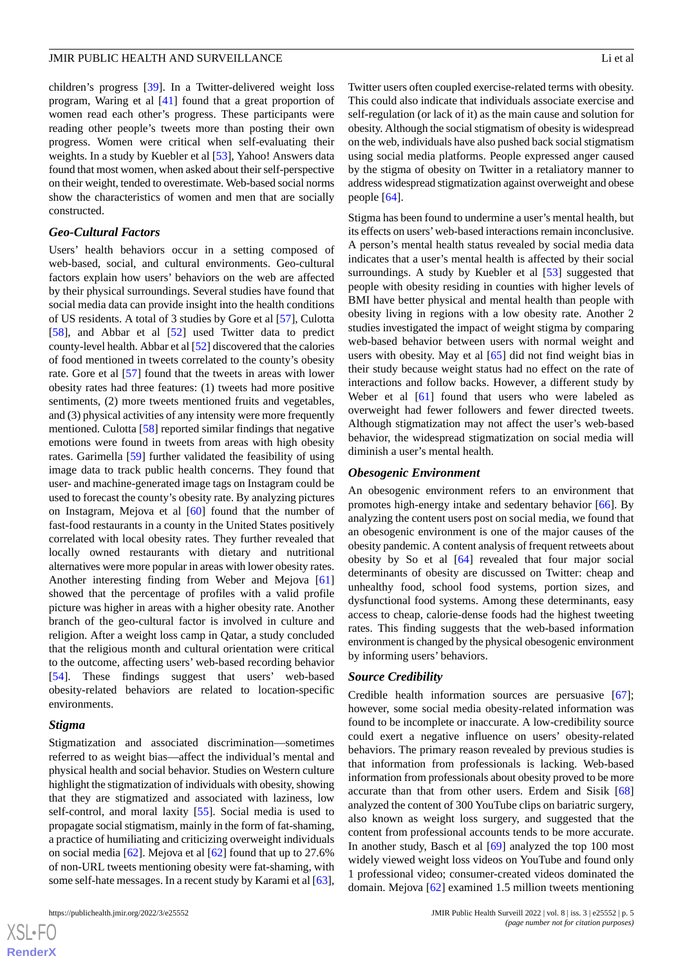children's progress [\[39](#page-19-20)]. In a Twitter-delivered weight loss program, Waring et al [[41\]](#page-19-21) found that a great proportion of women read each other's progress. These participants were reading other people's tweets more than posting their own progress. Women were critical when self-evaluating their weights. In a study by Kuebler et al [\[53](#page-20-13)], Yahoo! Answers data found that most women, when asked about their self-perspective on their weight, tended to overestimate. Web-based social norms show the characteristics of women and men that are socially constructed.

## *Geo-Cultural Factors*

Users' health behaviors occur in a setting composed of web-based, social, and cultural environments. Geo-cultural factors explain how users' behaviors on the web are affected by their physical surroundings. Several studies have found that social media data can provide insight into the health conditions of US residents. A total of 3 studies by Gore et al [[57\]](#page-20-14), Culotta [[58\]](#page-20-15), and Abbar et al [\[52](#page-20-9)] used Twitter data to predict county-level health. Abbar et al [\[52](#page-20-9)] discovered that the calories of food mentioned in tweets correlated to the county's obesity rate. Gore et al [[57\]](#page-20-14) found that the tweets in areas with lower obesity rates had three features: (1) tweets had more positive sentiments, (2) more tweets mentioned fruits and vegetables, and (3) physical activities of any intensity were more frequently mentioned. Culotta [[58\]](#page-20-15) reported similar findings that negative emotions were found in tweets from areas with high obesity rates. Garimella [[59\]](#page-20-16) further validated the feasibility of using image data to track public health concerns. They found that user- and machine-generated image tags on Instagram could be used to forecast the county's obesity rate. By analyzing pictures on Instagram, Mejova et al [[60\]](#page-20-17) found that the number of fast-food restaurants in a county in the United States positively correlated with local obesity rates. They further revealed that locally owned restaurants with dietary and nutritional alternatives were more popular in areas with lower obesity rates. Another interesting finding from Weber and Mejova [\[61](#page-20-18)] showed that the percentage of profiles with a valid profile picture was higher in areas with a higher obesity rate. Another branch of the geo-cultural factor is involved in culture and religion. After a weight loss camp in Qatar, a study concluded that the religious month and cultural orientation were critical to the outcome, affecting users' web-based recording behavior [[54\]](#page-20-10). These findings suggest that users' web-based obesity-related behaviors are related to location-specific environments.

#### *Stigma*

Stigmatization and associated discrimination—sometimes referred to as weight bias—affect the individual's mental and physical health and social behavior. Studies on Western culture highlight the stigmatization of individuals with obesity, showing that they are stigmatized and associated with laziness, low self-control, and moral laxity [\[55](#page-20-11)]. Social media is used to propagate social stigmatism, mainly in the form of fat-shaming, a practice of humiliating and criticizing overweight individuals on social media [[62\]](#page-21-0). Mejova et al [\[62](#page-21-0)] found that up to 27.6% of non-URL tweets mentioning obesity were fat-shaming, with some self-hate messages. In a recent study by Karami et al [[63\]](#page-21-1),

Twitter users often coupled exercise-related terms with obesity. This could also indicate that individuals associate exercise and self-regulation (or lack of it) as the main cause and solution for obesity. Although the social stigmatism of obesity is widespread on the web, individuals have also pushed back social stigmatism using social media platforms. People expressed anger caused by the stigma of obesity on Twitter in a retaliatory manner to address widespread stigmatization against overweight and obese people [\[64](#page-21-2)].

Stigma has been found to undermine a user's mental health, but its effects on users'web-based interactions remain inconclusive. A person's mental health status revealed by social media data indicates that a user's mental health is affected by their social surroundings. A study by Kuebler et al [[53\]](#page-20-13) suggested that people with obesity residing in counties with higher levels of BMI have better physical and mental health than people with obesity living in regions with a low obesity rate. Another 2 studies investigated the impact of weight stigma by comparing web-based behavior between users with normal weight and users with obesity. May et al [[65\]](#page-21-3) did not find weight bias in their study because weight status had no effect on the rate of interactions and follow backs. However, a different study by Weber et al [\[61](#page-20-18)] found that users who were labeled as overweight had fewer followers and fewer directed tweets. Although stigmatization may not affect the user's web-based behavior, the widespread stigmatization on social media will diminish a user's mental health.

#### *Obesogenic Environment*

An obesogenic environment refers to an environment that promotes high-energy intake and sedentary behavior [\[66](#page-21-4)]. By analyzing the content users post on social media, we found that an obesogenic environment is one of the major causes of the obesity pandemic. A content analysis of frequent retweets about obesity by So et al [\[64](#page-21-2)] revealed that four major social determinants of obesity are discussed on Twitter: cheap and unhealthy food, school food systems, portion sizes, and dysfunctional food systems. Among these determinants, easy access to cheap, calorie-dense foods had the highest tweeting rates. This finding suggests that the web-based information environment is changed by the physical obesogenic environment by informing users' behaviors.

#### *Source Credibility*

Credible health information sources are persuasive [[67\]](#page-21-5); however, some social media obesity-related information was found to be incomplete or inaccurate. A low-credibility source could exert a negative influence on users' obesity-related behaviors. The primary reason revealed by previous studies is that information from professionals is lacking. Web-based information from professionals about obesity proved to be more accurate than that from other users. Erdem and Sisik [\[68](#page-21-6)] analyzed the content of 300 YouTube clips on bariatric surgery, also known as weight loss surgery, and suggested that the content from professional accounts tends to be more accurate. In another study, Basch et al [[69\]](#page-21-7) analyzed the top 100 most widely viewed weight loss videos on YouTube and found only 1 professional video; consumer-created videos dominated the domain. Mejova [[62\]](#page-21-0) examined 1.5 million tweets mentioning

```
XS-FO
RenderX
```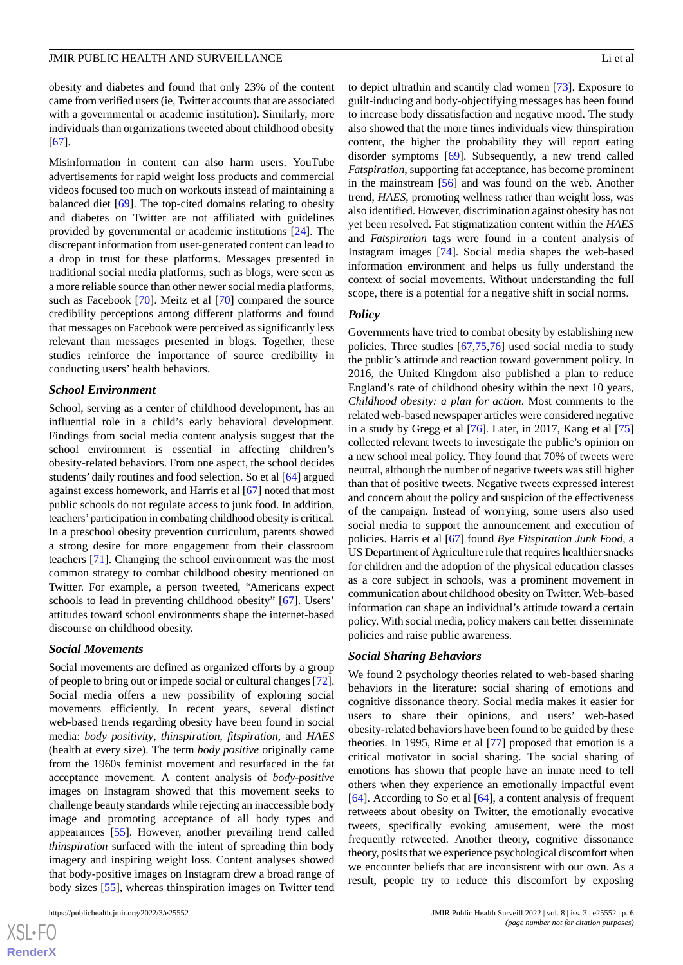obesity and diabetes and found that only 23% of the content came from verified users (ie, Twitter accounts that are associated with a governmental or academic institution). Similarly, more individuals than organizations tweeted about childhood obesity [[67\]](#page-21-5).

Misinformation in content can also harm users. YouTube advertisements for rapid weight loss products and commercial videos focused too much on workouts instead of maintaining a balanced diet [\[69](#page-21-7)]. The top-cited domains relating to obesity and diabetes on Twitter are not affiliated with guidelines provided by governmental or academic institutions [[24\]](#page-19-5). The discrepant information from user-generated content can lead to a drop in trust for these platforms. Messages presented in traditional social media platforms, such as blogs, were seen as a more reliable source than other newer social media platforms, such as Facebook [[70\]](#page-21-8). Meitz et al [[70\]](#page-21-8) compared the source credibility perceptions among different platforms and found that messages on Facebook were perceived as significantly less relevant than messages presented in blogs. Together, these studies reinforce the importance of source credibility in conducting users' health behaviors.

#### *School Environment*

School, serving as a center of childhood development, has an influential role in a child's early behavioral development. Findings from social media content analysis suggest that the school environment is essential in affecting children's obesity-related behaviors. From one aspect, the school decides students' daily routines and food selection. So et al [\[64](#page-21-2)] argued against excess homework, and Harris et al [[67\]](#page-21-5) noted that most public schools do not regulate access to junk food. In addition, teachers'participation in combating childhood obesity is critical. In a preschool obesity prevention curriculum, parents showed a strong desire for more engagement from their classroom teachers [\[71](#page-21-9)]. Changing the school environment was the most common strategy to combat childhood obesity mentioned on Twitter. For example, a person tweeted, "Americans expect schools to lead in preventing childhood obesity" [\[67](#page-21-5)]. Users' attitudes toward school environments shape the internet-based discourse on childhood obesity.

#### *Social Movements*

Social movements are defined as organized efforts by a group of people to bring out or impede social or cultural changes [[72\]](#page-21-10). Social media offers a new possibility of exploring social movements efficiently. In recent years, several distinct web-based trends regarding obesity have been found in social media: *body positivity*, *thinspiration*, *fitspiration*, and *HAES* (health at every size). The term *body positive* originally came from the 1960s feminist movement and resurfaced in the fat acceptance movement. A content analysis of *body-positive* images on Instagram showed that this movement seeks to challenge beauty standards while rejecting an inaccessible body image and promoting acceptance of all body types and appearances [[55\]](#page-20-11). However, another prevailing trend called *thinspiration* surfaced with the intent of spreading thin body imagery and inspiring weight loss. Content analyses showed that body-positive images on Instagram drew a broad range of body sizes [\[55](#page-20-11)], whereas thinspiration images on Twitter tend

to depict ultrathin and scantily clad women [\[73](#page-21-11)]. Exposure to guilt-inducing and body-objectifying messages has been found to increase body dissatisfaction and negative mood. The study also showed that the more times individuals view thinspiration content, the higher the probability they will report eating disorder symptoms [[69\]](#page-21-7). Subsequently, a new trend called *Fatspiration*, supporting fat acceptance, has become prominent in the mainstream [\[56](#page-20-12)] and was found on the web. Another trend, *HAES*, promoting wellness rather than weight loss, was also identified. However, discrimination against obesity has not yet been resolved. Fat stigmatization content within the *HAES* and *Fatspiration* tags were found in a content analysis of Instagram images [\[74](#page-21-12)]. Social media shapes the web-based information environment and helps us fully understand the context of social movements. Without understanding the full scope, there is a potential for a negative shift in social norms.

## *Policy*

Governments have tried to combat obesity by establishing new policies. Three studies [[67](#page-21-5)[,75](#page-21-13),[76\]](#page-21-14) used social media to study the public's attitude and reaction toward government policy. In 2016, the United Kingdom also published a plan to reduce England's rate of childhood obesity within the next 10 years, *Childhood obesity: a plan for action*. Most comments to the related web-based newspaper articles were considered negative in a study by Gregg et al [\[76](#page-21-14)]. Later, in 2017, Kang et al [\[75](#page-21-13)] collected relevant tweets to investigate the public's opinion on a new school meal policy. They found that 70% of tweets were neutral, although the number of negative tweets was still higher than that of positive tweets. Negative tweets expressed interest and concern about the policy and suspicion of the effectiveness of the campaign. Instead of worrying, some users also used social media to support the announcement and execution of policies. Harris et al [\[67](#page-21-5)] found *Bye Fitspiration Junk Food*, a US Department of Agriculture rule that requires healthier snacks for children and the adoption of the physical education classes as a core subject in schools, was a prominent movement in communication about childhood obesity on Twitter. Web-based information can shape an individual's attitude toward a certain policy. With social media, policy makers can better disseminate policies and raise public awareness.

#### *Social Sharing Behaviors*

We found 2 psychology theories related to web-based sharing behaviors in the literature: social sharing of emotions and cognitive dissonance theory. Social media makes it easier for users to share their opinions, and users' web-based obesity-related behaviors have been found to be guided by these theories. In 1995, Rime et al [[77\]](#page-21-15) proposed that emotion is a critical motivator in social sharing. The social sharing of emotions has shown that people have an innate need to tell others when they experience an emotionally impactful event [[64\]](#page-21-2). According to So et al [\[64](#page-21-2)], a content analysis of frequent retweets about obesity on Twitter, the emotionally evocative tweets, specifically evoking amusement, were the most frequently retweeted. Another theory, cognitive dissonance theory, posits that we experience psychological discomfort when we encounter beliefs that are inconsistent with our own. As a result, people try to reduce this discomfort by exposing

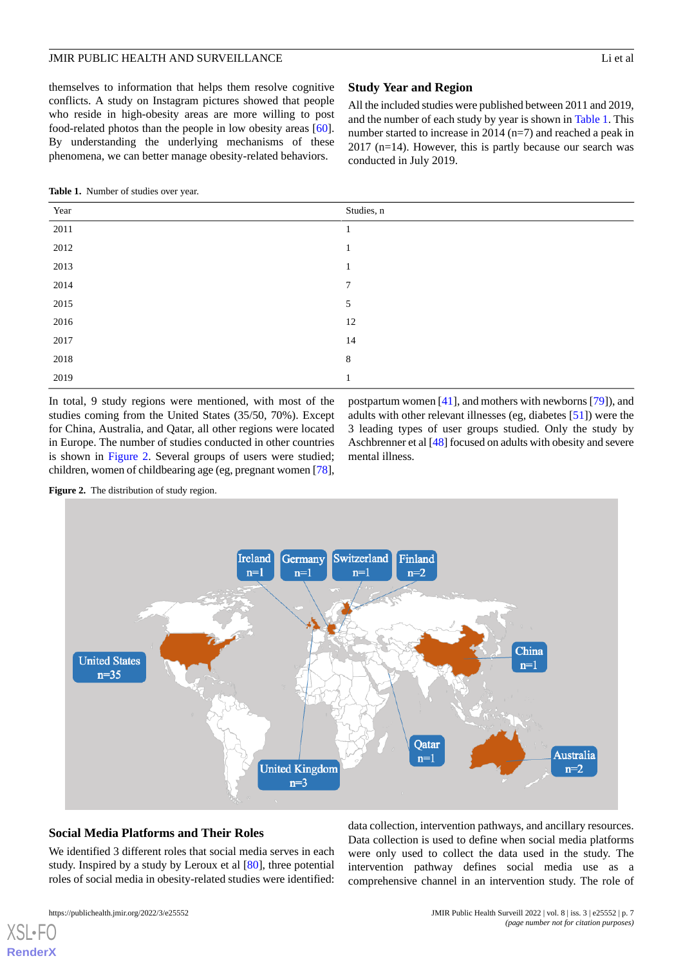themselves to information that helps them resolve cognitive conflicts. A study on Instagram pictures showed that people who reside in high-obesity areas are more willing to post food-related photos than the people in low obesity areas [[60\]](#page-20-17). By understanding the underlying mechanisms of these phenomena, we can better manage obesity-related behaviors.

## **Study Year and Region**

All the included studies were published between 2011 and 2019, and the number of each study by year is shown in [Table 1](#page-6-0). This number started to increase in 2014 (n=7) and reached a peak in  $2017$  (n=14). However, this is partly because our search was conducted in July 2019.

<span id="page-6-0"></span>**Table 1.** Number of studies over year.

| Year | Studies, n   |
|------|--------------|
| 2011 |              |
| 2012 | $\mathbf{1}$ |
| 2013 | 1            |
| 2014 | 7            |
| 2015 | 5            |
| 2016 | 12           |
| 2017 | 14           |
| 2018 | $8\,$        |
| 2019 | 1<br>л.      |

<span id="page-6-1"></span>In total, 9 study regions were mentioned, with most of the studies coming from the United States (35/50, 70%). Except for China, Australia, and Qatar, all other regions were located in Europe. The number of studies conducted in other countries is shown in [Figure 2](#page-6-1). Several groups of users were studied; children, women of childbearing age (eg, pregnant women [[78\]](#page-21-16),

postpartum women [\[41](#page-19-21)], and mothers with newborns [\[79](#page-21-17)]), and adults with other relevant illnesses (eg, diabetes [[51\]](#page-20-8)) were the 3 leading types of user groups studied. Only the study by Aschbrenner et al [\[48](#page-20-5)] focused on adults with obesity and severe mental illness.

**Figure 2.** The distribution of study region.



## **Social Media Platforms and Their Roles**

We identified 3 different roles that social media serves in each study. Inspired by a study by Leroux et al [[80\]](#page-21-18), three potential roles of social media in obesity-related studies were identified:

[XSL](http://www.w3.org/Style/XSL)•FO **[RenderX](http://www.renderx.com/)**

Data collection is used to define when social media platforms were only used to collect the data used in the study. The intervention pathway defines social media use as a comprehensive channel in an intervention study. The role of

data collection, intervention pathways, and ancillary resources.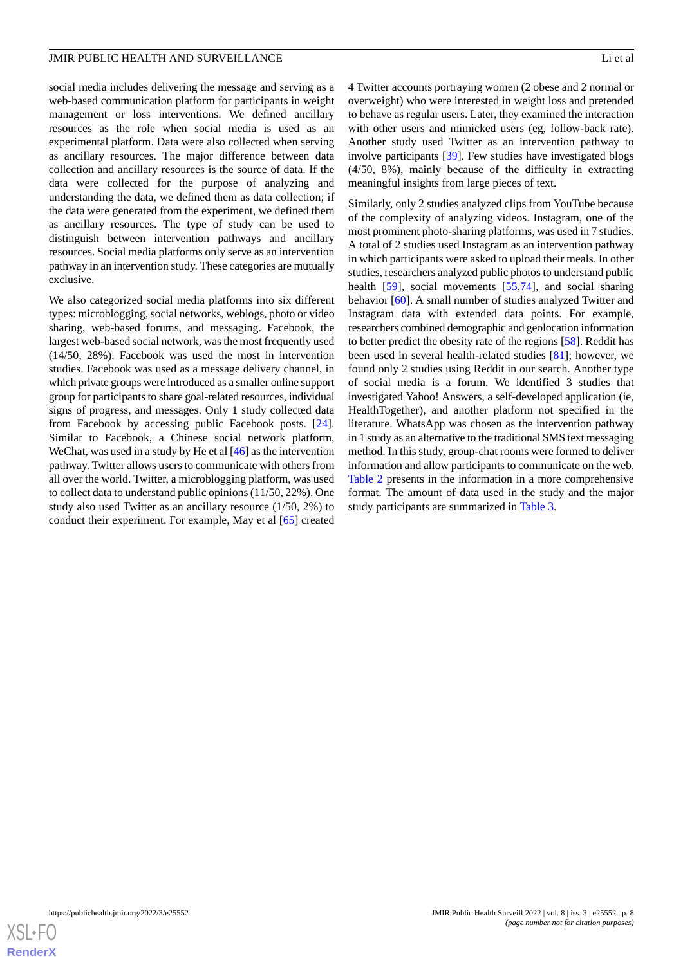social media includes delivering the message and serving as a web-based communication platform for participants in weight management or loss interventions. We defined ancillary resources as the role when social media is used as an experimental platform. Data were also collected when serving as ancillary resources. The major difference between data collection and ancillary resources is the source of data. If the data were collected for the purpose of analyzing and understanding the data, we defined them as data collection; if the data were generated from the experiment, we defined them as ancillary resources. The type of study can be used to distinguish between intervention pathways and ancillary resources. Social media platforms only serve as an intervention pathway in an intervention study. These categories are mutually exclusive.

We also categorized social media platforms into six different types: microblogging, social networks, weblogs, photo or video sharing, web-based forums, and messaging. Facebook, the largest web-based social network, was the most frequently used (14/50, 28%). Facebook was used the most in intervention studies. Facebook was used as a message delivery channel, in which private groups were introduced as a smaller online support group for participants to share goal-related resources, individual signs of progress, and messages. Only 1 study collected data from Facebook by accessing public Facebook posts. [[24\]](#page-19-5). Similar to Facebook, a Chinese social network platform, WeChat, was used in a study by He et al [[46\]](#page-20-3) as the intervention pathway. Twitter allows users to communicate with others from all over the world. Twitter, a microblogging platform, was used to collect data to understand public opinions (11/50, 22%). One study also used Twitter as an ancillary resource (1/50, 2%) to conduct their experiment. For example, May et al [[65\]](#page-21-3) created

4 Twitter accounts portraying women (2 obese and 2 normal or overweight) who were interested in weight loss and pretended to behave as regular users. Later, they examined the interaction with other users and mimicked users (eg, follow-back rate). Another study used Twitter as an intervention pathway to involve participants [[39\]](#page-19-20). Few studies have investigated blogs (4/50, 8%), mainly because of the difficulty in extracting meaningful insights from large pieces of text.

Similarly, only 2 studies analyzed clips from YouTube because of the complexity of analyzing videos. Instagram, one of the most prominent photo-sharing platforms, was used in 7 studies. A total of 2 studies used Instagram as an intervention pathway in which participants were asked to upload their meals. In other studies, researchers analyzed public photos to understand public health [[59\]](#page-20-16), social movements [\[55](#page-20-11),[74\]](#page-21-12), and social sharing behavior [\[60](#page-20-17)]. A small number of studies analyzed Twitter and Instagram data with extended data points. For example, researchers combined demographic and geolocation information to better predict the obesity rate of the regions [\[58](#page-20-15)]. Reddit has been used in several health-related studies [\[81](#page-21-19)]; however, we found only 2 studies using Reddit in our search. Another type of social media is a forum. We identified 3 studies that investigated Yahoo! Answers, a self-developed application (ie, HealthTogether), and another platform not specified in the literature. WhatsApp was chosen as the intervention pathway in 1 study as an alternative to the traditional SMS text messaging method. In this study, group-chat rooms were formed to deliver information and allow participants to communicate on the web. [Table 2](#page-8-0) presents in the information in a more comprehensive format. The amount of data used in the study and the major study participants are summarized in [Table 3.](#page-9-0)

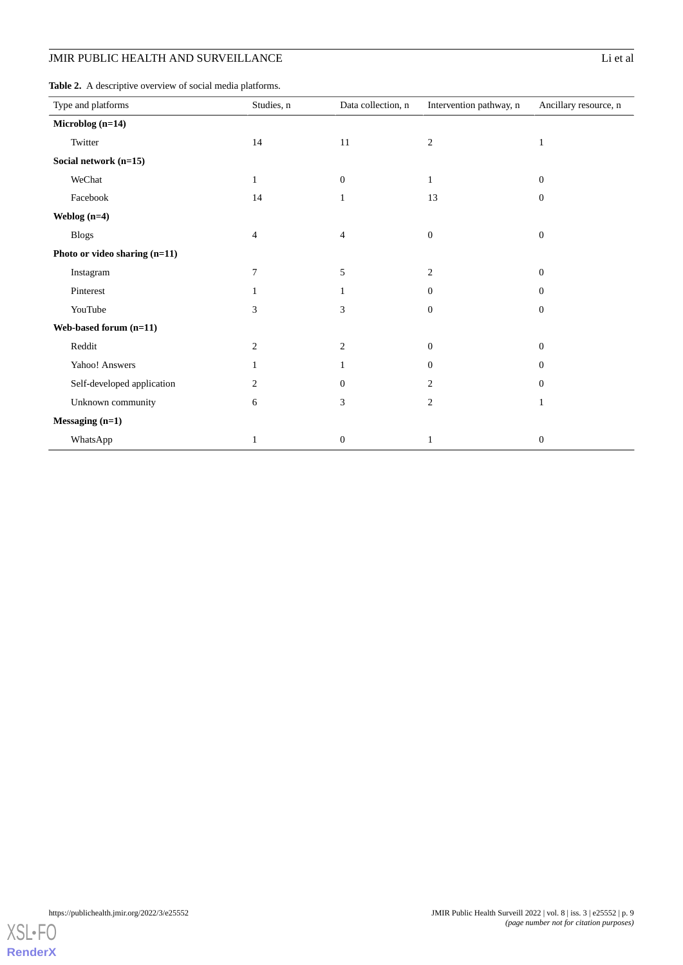<span id="page-8-0"></span>**Table 2.** A descriptive overview of social media platforms.

| Type and platforms            | Studies, n     | Data collection, n | Intervention pathway, n | Ancillary resource, n |
|-------------------------------|----------------|--------------------|-------------------------|-----------------------|
| Microblog (n=14)              |                |                    |                         |                       |
| Twitter                       | 14             | 11                 | $\mathfrak{2}$          | $\mathbf{1}$          |
| Social network (n=15)         |                |                    |                         |                       |
| WeChat                        | $\mathbf{1}$   | $\mathbf{0}$       | $\mathbf{1}$            | $\boldsymbol{0}$      |
| Facebook                      | 14             | $\mathbf{1}$       | 13                      | $\boldsymbol{0}$      |
| Weblog $(n=4)$                |                |                    |                         |                       |
| <b>Blogs</b>                  | $\overline{4}$ | $\overline{4}$     | $\boldsymbol{0}$        | $\boldsymbol{0}$      |
| Photo or video sharing (n=11) |                |                    |                         |                       |
| Instagram                     | 7              | 5                  | $\overline{c}$          | $\mathbf{0}$          |
| Pinterest                     | 1              |                    | $\Omega$                | $\Omega$              |
| YouTube                       | 3              | 3                  | $\mathbf{0}$            | $\mathbf{0}$          |
| Web-based forum (n=11)        |                |                    |                         |                       |
| Reddit                        | 2              | 2                  | $\boldsymbol{0}$        | $\mathbf{0}$          |
| Yahoo! Answers                | 1              |                    | $\mathbf{0}$            | $\mathbf{0}$          |
| Self-developed application    | 2              | $\Omega$           | $\overline{2}$          | $\Omega$              |
| Unknown community             | 6              | 3                  | $\overline{2}$          | 1                     |
| Messaging (n=1)               |                |                    |                         |                       |
| WhatsApp                      | 1              | $\boldsymbol{0}$   | 1                       | $\boldsymbol{0}$      |

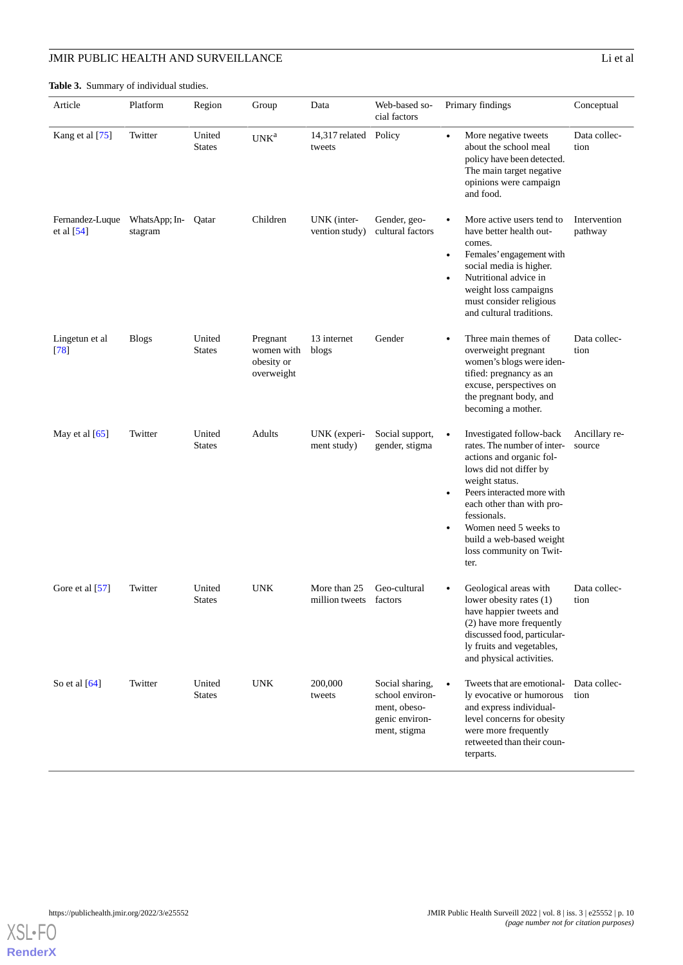<span id="page-9-0"></span>**Table 3.** Summary of individual studies.

| Article                         | Platform                 | Region                  | Group                                              | Data                            | Web-based so-<br>cial factors                                                        | Primary findings                                                                                                                                                                                                                                                                                                            | Conceptual              |
|---------------------------------|--------------------------|-------------------------|----------------------------------------------------|---------------------------------|--------------------------------------------------------------------------------------|-----------------------------------------------------------------------------------------------------------------------------------------------------------------------------------------------------------------------------------------------------------------------------------------------------------------------------|-------------------------|
| Kang et al [75]                 | Twitter                  | United<br><b>States</b> | UNK <sup>a</sup>                                   | 14,317 related Policy<br>tweets |                                                                                      | More negative tweets<br>$\bullet$<br>about the school meal<br>policy have been detected.<br>The main target negative<br>opinions were campaign<br>and food.                                                                                                                                                                 | Data collec-<br>tion    |
| Fernandez-Luque<br>et al $[54]$ | WhatsApp; In-<br>stagram | Qatar                   | Children                                           | UNK (inter-<br>vention study)   | Gender, geo-<br>cultural factors                                                     | More active users tend to<br>have better health out-<br>comes.<br>Females' engagement with<br>$\bullet$<br>social media is higher.<br>Nutritional advice in<br>$\bullet$<br>weight loss campaigns<br>must consider religious<br>and cultural traditions.                                                                    | Intervention<br>pathway |
| Lingetun et al<br>[78]          | <b>Blogs</b>             | United<br><b>States</b> | Pregnant<br>women with<br>obesity or<br>overweight | 13 internet<br>blogs            | Gender                                                                               | Three main themes of<br>$\bullet$<br>overweight pregnant<br>women's blogs were iden-<br>tified: pregnancy as an<br>excuse, perspectives on<br>the pregnant body, and<br>becoming a mother.                                                                                                                                  | Data collec-<br>tion    |
| May et al $[65]$                | Twitter                  | United<br><b>States</b> | Adults                                             | UNK (experi-<br>ment study)     | Social support,<br>gender, stigma                                                    | Investigated follow-back<br>$\bullet$<br>rates. The number of inter-<br>actions and organic fol-<br>lows did not differ by<br>weight status.<br>Peers interacted more with<br>each other than with pro-<br>fessionals.<br>Women need 5 weeks to<br>$\bullet$<br>build a web-based weight<br>loss community on Twit-<br>ter. | Ancillary re-<br>source |
| Gore et al [57]                 | Twitter                  | United<br><b>States</b> | <b>UNK</b>                                         | More than 25<br>million tweets  | Geo-cultural<br>factors                                                              | Geological areas with<br>lower obesity rates (1)<br>have happier tweets and<br>(2) have more frequently<br>discussed food, particular-<br>ly fruits and vegetables,<br>and physical activities.                                                                                                                             | Data collec-<br>tion    |
| So et al $[64]$                 | Twitter                  | United<br><b>States</b> | <b>UNK</b>                                         | 200,000<br>tweets               | Social sharing,<br>school environ-<br>ment, obeso-<br>genic environ-<br>ment, stigma | Tweets that are emotional-<br>$\bullet$<br>ly evocative or humorous<br>and express individual-<br>level concerns for obesity<br>were more frequently<br>retweeted than their coun-<br>terparts.                                                                                                                             | Data collec-<br>tion    |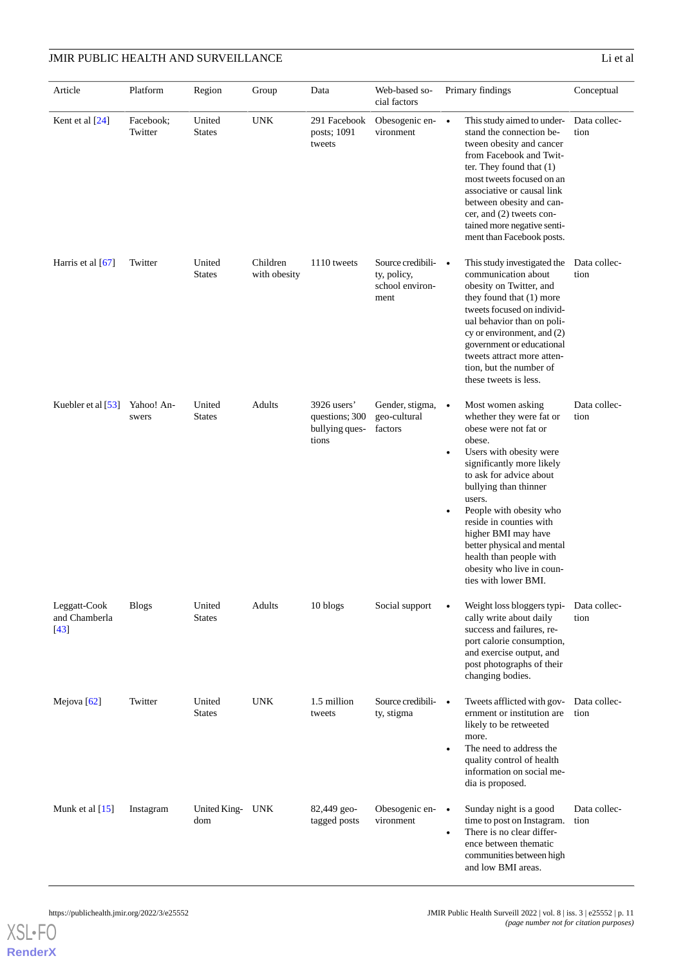| Article                                 | Platform             | Region                  | Group                    | Data                                                     | Web-based so-<br>cial factors                                 | Primary findings                                                                                                                                                                                                                                                                                                                                                                                                                    | Conceptual   |
|-----------------------------------------|----------------------|-------------------------|--------------------------|----------------------------------------------------------|---------------------------------------------------------------|-------------------------------------------------------------------------------------------------------------------------------------------------------------------------------------------------------------------------------------------------------------------------------------------------------------------------------------------------------------------------------------------------------------------------------------|--------------|
| Kent et al [24]                         | Facebook;<br>Twitter | United<br><b>States</b> | <b>UNK</b>               | 291 Facebook<br>posts; 1091<br>tweets                    | Obesogenic en- •<br>vironment                                 | This study aimed to under-<br>stand the connection be-<br>tion<br>tween obesity and cancer<br>from Facebook and Twit-<br>ter. They found that (1)<br>most tweets focused on an<br>associative or causal link<br>between obesity and can-<br>cer, and (2) tweets con-<br>tained more negative senti-<br>ment than Facebook posts.                                                                                                    | Data collec- |
| Harris et al [67]                       | Twitter              | United<br><b>States</b> | Children<br>with obesity | 1110 tweets                                              | Source credibili- •<br>ty, policy,<br>school environ-<br>ment | This study investigated the<br>communication about<br>tion<br>obesity on Twitter, and<br>they found that (1) more<br>tweets focused on individ-<br>ual behavior than on poli-<br>cy or environment, and (2)<br>government or educational<br>tweets attract more atten-<br>tion, but the number of<br>these tweets is less.                                                                                                          | Data collec- |
| Kuebler et al [53]                      | Yahoo! An-<br>swers  | United<br><b>States</b> | <b>Adults</b>            | 3926 users'<br>questions; 300<br>bullying ques-<br>tions | Gender, stigma, •<br>geo-cultural<br>factors                  | Most women asking<br>whether they were fat or<br>tion<br>obese were not fat or<br>obese.<br>Users with obesity were<br>$\bullet$<br>significantly more likely<br>to ask for advice about<br>bullying than thinner<br>users.<br>People with obesity who<br>$\bullet$<br>reside in counties with<br>higher BMI may have<br>better physical and mental<br>health than people with<br>obesity who live in coun-<br>ties with lower BMI. | Data collec- |
| Leggatt-Cook<br>and Chamberla<br>$[43]$ | <b>Blogs</b>         | United<br><b>States</b> | Adults                   | 10 blogs                                                 | Social support                                                | Weight loss bloggers typi-<br>$\bullet$<br>cally write about daily<br>tion<br>success and failures, re-<br>port calorie consumption,<br>and exercise output, and<br>post photographs of their<br>changing bodies.                                                                                                                                                                                                                   | Data collec- |
| Mejova [62]                             | Twitter              | United<br><b>States</b> | <b>UNK</b>               | 1.5 million<br>tweets                                    | Source credibili-<br>ty, stigma                               | Tweets afflicted with gov-<br>$\bullet$<br>ernment or institution are<br>tion<br>likely to be retweeted<br>more.<br>The need to address the<br>$\bullet$<br>quality control of health<br>information on social me-<br>dia is proposed.                                                                                                                                                                                              | Data collec- |
| Munk et al $[15]$                       | Instagram            | United King- UNK<br>dom |                          | 82,449 geo-<br>tagged posts                              | Obesogenic en-<br>vironment                                   | Sunday night is a good<br>$\bullet$<br>time to post on Instagram.<br>tion<br>There is no clear differ-<br>$\bullet$<br>ence between thematic<br>communities between high<br>and low BMI areas.                                                                                                                                                                                                                                      | Data collec- |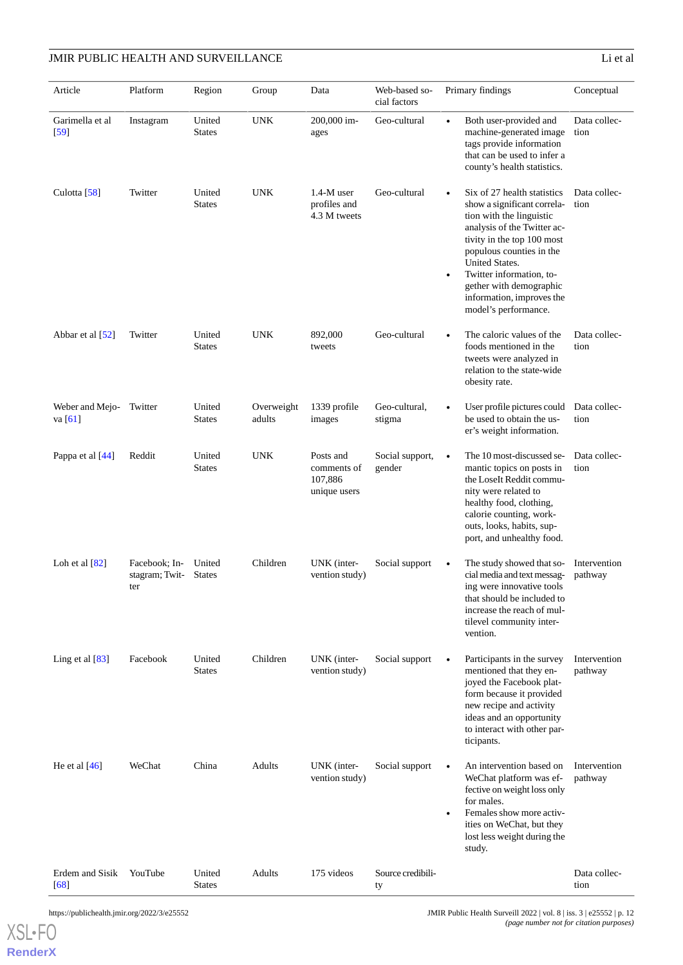| Article                      | Platform                               | Region                  | Group                | Data                                                | Web-based so-<br>cial factors | Primary findings                                                                                                                                                                                                                                                                                                                        | Conceptual              |
|------------------------------|----------------------------------------|-------------------------|----------------------|-----------------------------------------------------|-------------------------------|-----------------------------------------------------------------------------------------------------------------------------------------------------------------------------------------------------------------------------------------------------------------------------------------------------------------------------------------|-------------------------|
| Garimella et al<br>$[59]$    | Instagram                              | United<br><b>States</b> | <b>UNK</b>           | 200,000 im-<br>ages                                 | Geo-cultural                  | Both user-provided and<br>machine-generated image<br>tags provide information<br>that can be used to infer a<br>county's health statistics.                                                                                                                                                                                             | Data collec-<br>tion    |
| Culotta [58]                 | Twitter                                | United<br><b>States</b> | <b>UNK</b>           | $1.4-M$ user<br>profiles and<br>4.3 M tweets        | Geo-cultural                  | Six of 27 health statistics<br>$\bullet$<br>show a significant correla-<br>tion with the linguistic<br>analysis of the Twitter ac-<br>tivity in the top 100 most<br>populous counties in the<br>United States.<br>Twitter information, to-<br>$\bullet$<br>gether with demographic<br>information, improves the<br>model's performance. | Data collec-<br>tion    |
| Abbar et al [52]             | Twitter                                | United<br><b>States</b> | <b>UNK</b>           | 892,000<br>tweets                                   | Geo-cultural                  | The caloric values of the<br>$\bullet$<br>foods mentioned in the<br>tweets were analyzed in<br>relation to the state-wide<br>obesity rate.                                                                                                                                                                                              | Data collec-<br>tion    |
| Weber and Mejo-<br>va $[61]$ | Twitter                                | United<br><b>States</b> | Overweight<br>adults | 1339 profile<br>images                              | Geo-cultural,<br>stigma       | User profile pictures could<br>be used to obtain the us-<br>er's weight information.                                                                                                                                                                                                                                                    | Data collec-<br>tion    |
| Pappa et al [44]             | Reddit                                 | United<br><b>States</b> | <b>UNK</b>           | Posts and<br>comments of<br>107,886<br>unique users | Social support,<br>gender     | The 10 most-discussed se-<br>$\bullet$<br>mantic topics on posts in<br>the LoseIt Reddit commu-<br>nity were related to<br>healthy food, clothing,<br>calorie counting, work-<br>outs, looks, habits, sup-<br>port, and unhealthy food.                                                                                                 | Data collec-<br>tion    |
| Loh et al $[82]$             | Facebook; In-<br>stagram; Twit-<br>ter | United<br><b>States</b> | Children             | UNK (inter-<br>vention study)                       | Social support                | The study showed that so-<br>$\bullet$<br>cial media and text messag-<br>ing were innovative tools<br>that should be included to<br>increase the reach of mul-<br>tilevel community inter-<br>vention.                                                                                                                                  | Intervention<br>pathway |
| Ling et al $[83]$            | Facebook                               | United<br><b>States</b> | Children             | UNK (inter-<br>vention study)                       | Social support                | Participants in the survey<br>$\bullet$<br>mentioned that they en-<br>joyed the Facebook plat-<br>form because it provided<br>new recipe and activity<br>ideas and an opportunity<br>to interact with other par-<br>ticipants.                                                                                                          | Intervention<br>pathway |
| He et al $[46]$              | WeChat                                 | China                   | Adults               | UNK (inter-<br>vention study)                       | Social support                | An intervention based on<br>$\bullet$<br>WeChat platform was ef-<br>fective on weight loss only<br>for males.<br>Females show more activ-<br>$\bullet$<br>ities on WeChat, but they<br>lost less weight during the<br>study.                                                                                                            | Intervention<br>pathway |
| Erdem and Sisik<br>[68]      | YouTube                                | United<br>States        | Adults               | 175 videos                                          | Source credibili-<br>ty       |                                                                                                                                                                                                                                                                                                                                         | Data collec-<br>tion    |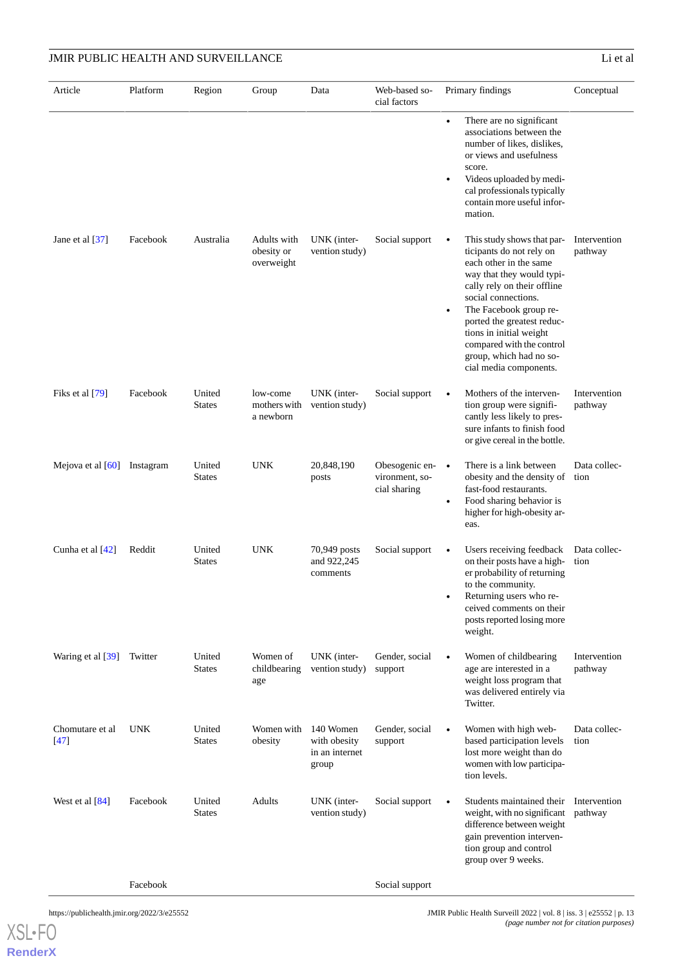| Article                   | Platform   | Region                  | Group                                   | Data                                                 | Web-based so-<br>cial factors                              | Primary findings                                                                                                                                                                                                                                                                                                                                      | Conceptual              |
|---------------------------|------------|-------------------------|-----------------------------------------|------------------------------------------------------|------------------------------------------------------------|-------------------------------------------------------------------------------------------------------------------------------------------------------------------------------------------------------------------------------------------------------------------------------------------------------------------------------------------------------|-------------------------|
|                           |            |                         |                                         |                                                      |                                                            | There are no significant<br>$\bullet$<br>associations between the<br>number of likes, dislikes,<br>or views and usefulness<br>score.<br>Videos uploaded by medi-<br>$\bullet$<br>cal professionals typically<br>contain more useful infor-<br>mation.                                                                                                 |                         |
| Jane et al [37]           | Facebook   | Australia               | Adults with<br>obesity or<br>overweight | UNK (inter-<br>vention study)                        | Social support                                             | This study shows that par-<br>ticipants do not rely on<br>each other in the same<br>way that they would typi-<br>cally rely on their offline<br>social connections.<br>The Facebook group re-<br>$\bullet$<br>ported the greatest reduc-<br>tions in initial weight<br>compared with the control<br>group, which had no so-<br>cial media components. | Intervention<br>pathway |
| Fiks et al [79]           | Facebook   | United<br><b>States</b> | low-come<br>mothers with<br>a newborn   | UNK (inter-<br>vention study)                        | Social support                                             | Mothers of the interven-<br>$\bullet$<br>tion group were signifi-<br>cantly less likely to pres-<br>sure infants to finish food<br>or give cereal in the bottle.                                                                                                                                                                                      | Intervention<br>pathway |
| Mejova et al $[60]$       | Instagram  | United<br><b>States</b> | <b>UNK</b>                              | 20,848,190<br>posts                                  | Obesogenic en- $\bullet$<br>vironment, so-<br>cial sharing | There is a link between<br>obesity and the density of<br>fast-food restaurants.<br>Food sharing behavior is<br>$\bullet$<br>higher for high-obesity ar-<br>eas.                                                                                                                                                                                       | Data collec-<br>tion    |
| Cunha et al [42]          | Reddit     | United<br><b>States</b> | <b>UNK</b>                              | 70,949 posts<br>and 922,245<br>comments              | Social support                                             | Users receiving feedback<br>on their posts have a high-<br>er probability of returning<br>to the community.<br>Returning users who re-<br>ceived comments on their<br>posts reported losing more<br>weight.                                                                                                                                           | Data collec-<br>tion    |
| Waring et al [39]         | Twitter    | United<br><b>States</b> | Women of<br>childbearing<br>age         | UNK (inter-<br>vention study)                        | Gender, social<br>support                                  | Women of childbearing<br>$\bullet$<br>age are interested in a<br>weight loss program that<br>was delivered entirely via<br>Twitter.                                                                                                                                                                                                                   | Intervention<br>pathway |
| Chomutare et al<br>$[47]$ | <b>UNK</b> | United<br><b>States</b> | Women with<br>obesity                   | 140 Women<br>with obesity<br>in an internet<br>group | Gender, social<br>support                                  | Women with high web-<br>based participation levels<br>lost more weight than do<br>women with low participa-<br>tion levels.                                                                                                                                                                                                                           | Data collec-<br>tion    |
| West et al $[84]$         | Facebook   | United<br><b>States</b> | Adults                                  | UNK (inter-<br>vention study)                        | Social support                                             | Students maintained their<br>$\bullet$<br>weight, with no significant<br>difference between weight<br>gain prevention interven-<br>tion group and control<br>group over 9 weeks.                                                                                                                                                                      | Intervention<br>pathway |
|                           | Facebook   |                         |                                         |                                                      | Social support                                             |                                                                                                                                                                                                                                                                                                                                                       |                         |

[XSL](http://www.w3.org/Style/XSL)•FO

**[RenderX](http://www.renderx.com/)**

https://publichealth.jmir.org/2022/3/e25552 JMIR Public Health Surveill 2022 | vol. 8 | iss. 3 | e25552 | p. 13 *(page number not for citation purposes)*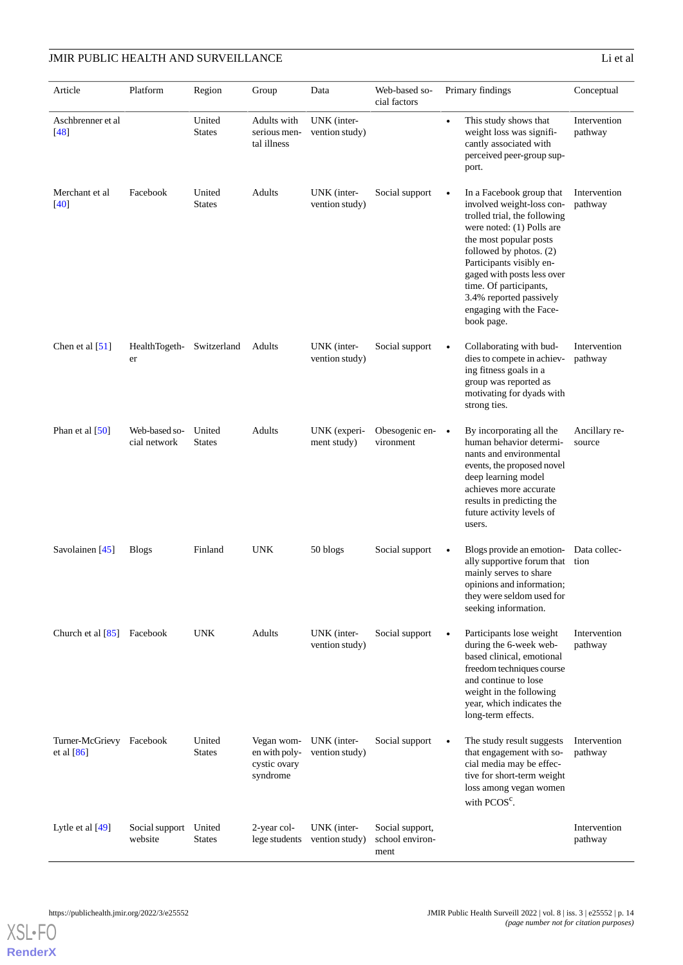| Article                                  | Platform                      | Region                  | Group                                                   | Data                          | Web-based so-<br>cial factors              | Primary findings                                                                                                                                                                                                                                                                                                                             | Conceptual              |
|------------------------------------------|-------------------------------|-------------------------|---------------------------------------------------------|-------------------------------|--------------------------------------------|----------------------------------------------------------------------------------------------------------------------------------------------------------------------------------------------------------------------------------------------------------------------------------------------------------------------------------------------|-------------------------|
| Aschbrenner et al<br>$[48]$              |                               | United<br><b>States</b> | Adults with<br>serious men-<br>tal illness              | UNK (inter-<br>vention study) |                                            | This study shows that<br>weight loss was signifi-<br>cantly associated with<br>perceived peer-group sup-<br>port.                                                                                                                                                                                                                            | Intervention<br>pathway |
| Merchant et al<br>$[40]$                 | Facebook                      | United<br><b>States</b> | Adults                                                  | UNK (inter-<br>vention study) | Social support                             | In a Facebook group that<br>$\bullet$<br>involved weight-loss con-<br>trolled trial, the following<br>were noted: (1) Polls are<br>the most popular posts<br>followed by photos. (2)<br>Participants visibly en-<br>gaged with posts less over<br>time. Of participants,<br>3.4% reported passively<br>engaging with the Face-<br>book page. | Intervention<br>pathway |
| Chen et al $[51]$                        | HealthTogeth-<br>er           | Switzerland             | Adults                                                  | UNK (inter-<br>vention study) | Social support                             | Collaborating with bud-<br>dies to compete in achiev-<br>ing fitness goals in a<br>group was reported as<br>motivating for dyads with<br>strong ties.                                                                                                                                                                                        | Intervention<br>pathway |
| Phan et al $[50]$                        | Web-based so-<br>cial network | United<br><b>States</b> | Adults                                                  | UNK (experi-<br>ment study)   | Obesogenic en- •<br>vironment              | By incorporating all the<br>human behavior determi-<br>nants and environmental<br>events, the proposed novel<br>deep learning model<br>achieves more accurate<br>results in predicting the<br>future activity levels of<br>users.                                                                                                            | Ancillary re-<br>source |
| Savolainen [45]                          | <b>Blogs</b>                  | Finland                 | <b>UNK</b>                                              | 50 blogs                      | Social support                             | Blogs provide an emotion-<br>$\bullet$<br>ally supportive forum that<br>mainly serves to share<br>opinions and information;<br>they were seldom used for<br>seeking information.                                                                                                                                                             | Data collec-<br>tion    |
| Church et al $[85]$ Facebook             |                               | <b>UNK</b>              | Adults                                                  | UNK (inter-<br>vention study) | Social support                             | Participants lose weight<br>$\bullet$<br>during the 6-week web-<br>based clinical, emotional<br>freedom techniques course<br>and continue to lose<br>weight in the following<br>year, which indicates the<br>long-term effects.                                                                                                              | Intervention<br>pathway |
| Turner-McGrievy Facebook<br>et al $[86]$ |                               | United<br><b>States</b> | Vegan wom-<br>en with poly-<br>cystic ovary<br>syndrome | UNK (inter-<br>vention study) | Social support                             | The study result suggests<br>$\bullet$<br>that engagement with so-<br>cial media may be effec-<br>tive for short-term weight<br>loss among vegan women<br>with PCOS <sup>c</sup> .                                                                                                                                                           | Intervention<br>pathway |
| Lytle et al $[49]$                       | Social support<br>website     | United<br><b>States</b> | 2-year col-<br>lege students                            | UNK (inter-<br>vention study) | Social support,<br>school environ-<br>ment |                                                                                                                                                                                                                                                                                                                                              | Intervention<br>pathway |

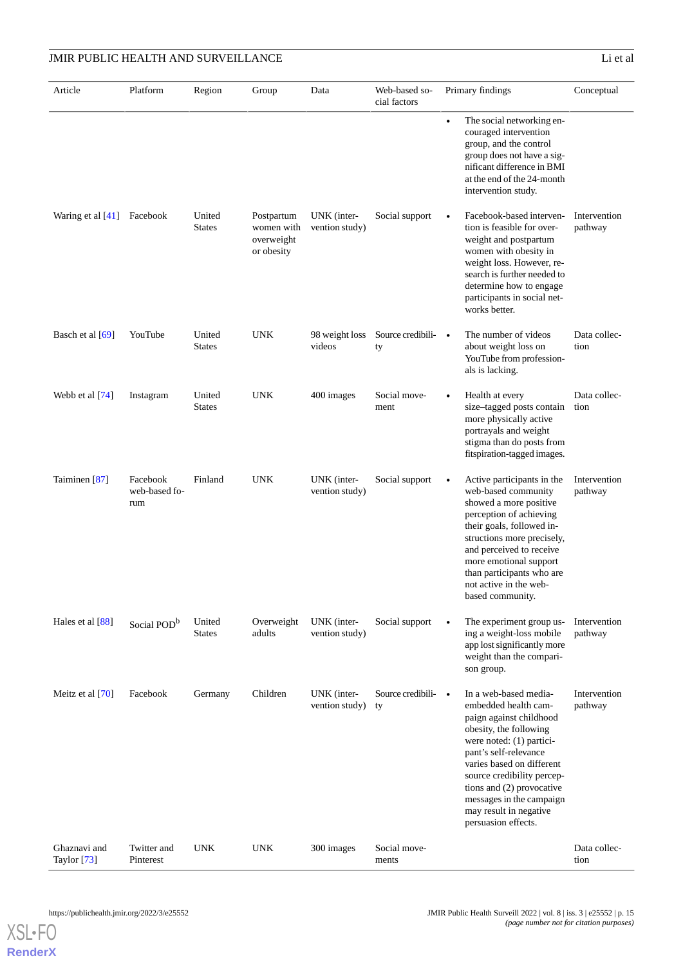Web-based so- Primary findings Conceptual cial factors Article Platform Region Group Data The social networking encouraged intervention group, and the control group does not have a significant difference in BMI at the end of the 24-month intervention study. Intervention pathway Facebook-based intervention is feasible for overweight and postpartum women with obesity in weight loss. However, research is further needed to determine how to engage participants in social networks better. UNK (inter- Social support vention study) Postpartum women with overweight or obesity United States Waring et al [[41](#page-19-21)] Facebook Data collection • The number of videos about weight loss on YouTube from professionals is lacking. Source credibility 98 weight loss videos United UNK **States** Basch et al [[69](#page-21-7)] YouTube Data collection Health at every size–tagged posts contain more physically active portrayals and weight stigma than do posts from fitspiration-tagged images. Social movement United UNK 400 images **States** Webb et al [[74](#page-21-12)] Instagram Intervention pathway • Active participants in the web-based community showed a more positive perception of achieving their goals, followed instructions more precisely, and perceived to receive more emotional support than participants who are not active in the webbased community. UNK (inter- Social support vention study) Facebook Finland UNK web-based forum Taiminen [\[87\]](#page-22-2) Intervention pathway The experiment group using a weight-loss mobile app lost significantly more weight than the comparison group. UNK (inter- Social support vention study) Overweight adults United States Hales et al  $[88]$  Social POD<sup>b</sup> Intervention pathway In a web-based mediaembedded health campaign against childhood obesity, the following were noted: (1) participant's self-relevance varies based on different source credibility perceptions and (2) provocative messages in the campaign may result in negative persuasion effects. Source credibility UNK (intervention study) Meitz et al [[70](#page-21-8)] Facebook Germany Children Data collection Social movements Twitter and UNK UNK 300 images Pinterest Ghaznavi and Taylor [[73\]](#page-21-11)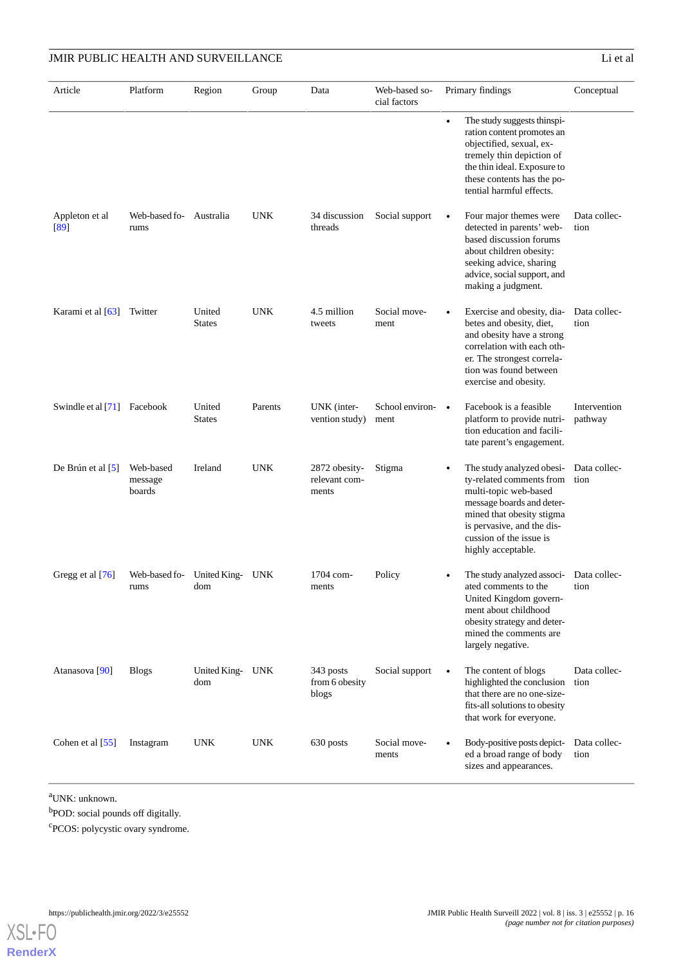| Article                     | Platform                        | Region                  | Group      | Data                                    | Web-based so-<br>cial factors     | Primary findings                                                                                                                                                                                                                     | Conceptual              |
|-----------------------------|---------------------------------|-------------------------|------------|-----------------------------------------|-----------------------------------|--------------------------------------------------------------------------------------------------------------------------------------------------------------------------------------------------------------------------------------|-------------------------|
|                             |                                 |                         |            |                                         |                                   | The study suggests thinspi-<br>$\bullet$<br>ration content promotes an<br>objectified, sexual, ex-<br>tremely thin depiction of<br>the thin ideal. Exposure to<br>these contents has the po-<br>tential harmful effects.             |                         |
| Appleton et al<br>[89]      | Web-based fo- Australia<br>rums |                         | <b>UNK</b> | 34 discussion<br>threads                | Social support                    | Four major themes were<br>detected in parents' web-<br>based discussion forums<br>about children obesity:<br>seeking advice, sharing<br>advice, social support, and<br>making a judgment.                                            | Data collec-<br>tion    |
| Karami et al [63]           | Twitter                         | United<br><b>States</b> | <b>UNK</b> | 4.5 million<br>tweets                   | Social move-<br>ment              | Exercise and obesity, dia-<br>betes and obesity, diet,<br>and obesity have a strong<br>correlation with each oth-<br>er. The strongest correla-<br>tion was found between<br>exercise and obesity.                                   | Data collec-<br>tion    |
| Swindle et al [71] Facebook |                                 | United<br><b>States</b> | Parents    | UNK (inter-<br>vention study)           | School environ- $\bullet$<br>ment | Facebook is a feasible<br>platform to provide nutri-<br>tion education and facili-<br>tate parent's engagement.                                                                                                                      | Intervention<br>pathway |
| De Brún et al $[5]$         | Web-based<br>message<br>boards  | Ireland                 | <b>UNK</b> | 2872 obesity-<br>relevant com-<br>ments | Stigma                            | The study analyzed obesi-<br>$\bullet$<br>ty-related comments from<br>multi-topic web-based<br>message boards and deter-<br>mined that obesity stigma<br>is pervasive, and the dis-<br>cussion of the issue is<br>highly acceptable. | Data collec-<br>tion    |
| Gregg et al [76]            | Web-based fo-<br>rums           | United King- UNK<br>dom |            | 1704 com-<br>ments                      | Policy                            | The study analyzed associ-<br>ated comments to the<br>United Kingdom govern-<br>ment about childhood<br>obesity strategy and deter-<br>mined the comments are<br>largely negative.                                                   | Data collec-<br>tion    |
| Atanasova <sup>[90]</sup>   | <b>Blogs</b>                    | United King- UNK<br>dom |            | 343 posts<br>from 6 obesity<br>blogs    | Social support                    | The content of blogs<br>$\bullet$<br>highlighted the conclusion<br>that there are no one-size-<br>fits-all solutions to obesity<br>that work for everyone.                                                                           | Data collec-<br>tion    |
| Cohen et al [55]            | Instagram                       | <b>UNK</b>              | <b>UNK</b> | 630 posts                               | Social move-<br>ments             | Body-positive posts depict-<br>$\bullet$<br>ed a broad range of body<br>sizes and appearances.                                                                                                                                       | Data collec-<br>tion    |

<sup>a</sup>UNK: unknown.

[XSL](http://www.w3.org/Style/XSL)•FO **[RenderX](http://www.renderx.com/)**

<sup>b</sup>POD: social pounds off digitally.

c PCOS: polycystic ovary syndrome.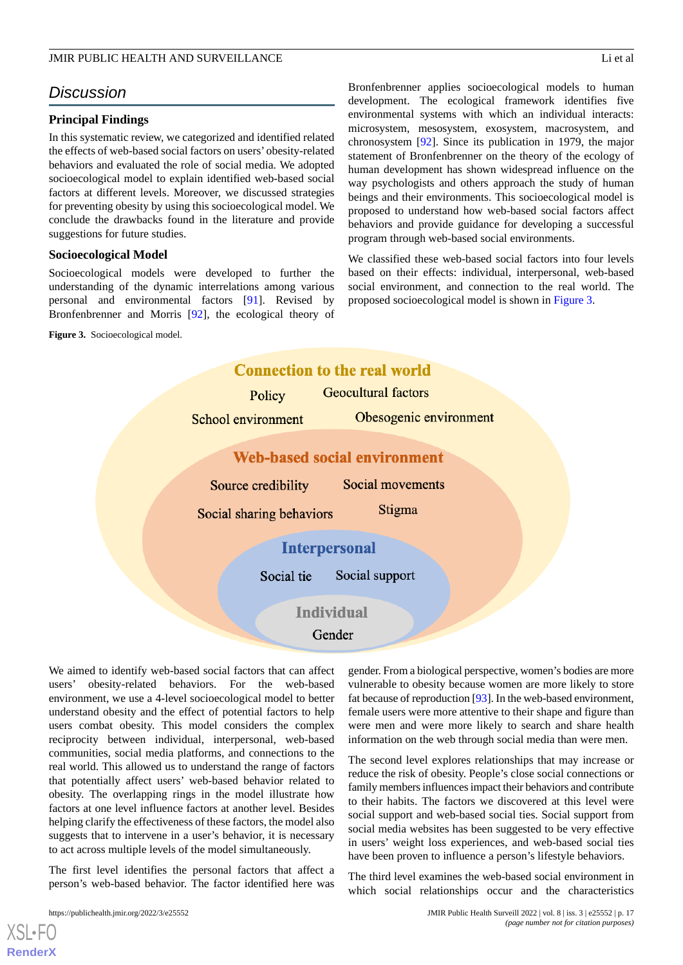# *Discussion*

## **Principal Findings**

In this systematic review, we categorized and identified related the effects of web-based social factors on users' obesity-related behaviors and evaluated the role of social media. We adopted socioecological model to explain identified web-based social factors at different levels. Moreover, we discussed strategies for preventing obesity by using this socioecological model. We conclude the drawbacks found in the literature and provide suggestions for future studies.

## **Socioecological Model**

<span id="page-16-0"></span>Socioecological models were developed to further the understanding of the dynamic interrelations among various personal and environmental factors [\[91](#page-22-6)]. Revised by Bronfenbrenner and Morris [\[92](#page-22-7)], the ecological theory of

**Figure 3.** Socioecological model.

Bronfenbrenner applies socioecological models to human development. The ecological framework identifies five environmental systems with which an individual interacts: microsystem, mesosystem, exosystem, macrosystem, and chronosystem [\[92](#page-22-7)]. Since its publication in 1979, the major statement of Bronfenbrenner on the theory of the ecology of human development has shown widespread influence on the way psychologists and others approach the study of human beings and their environments. This socioecological model is proposed to understand how web-based social factors affect behaviors and provide guidance for developing a successful program through web-based social environments.

We classified these web-based social factors into four levels based on their effects: individual, interpersonal, web-based social environment, and connection to the real world. The proposed socioecological model is shown in [Figure 3](#page-16-0).



We aimed to identify web-based social factors that can affect users' obesity-related behaviors. For the web-based environment, we use a 4-level socioecological model to better understand obesity and the effect of potential factors to help users combat obesity. This model considers the complex reciprocity between individual, interpersonal, web-based communities, social media platforms, and connections to the real world. This allowed us to understand the range of factors that potentially affect users' web-based behavior related to obesity. The overlapping rings in the model illustrate how factors at one level influence factors at another level. Besides helping clarify the effectiveness of these factors, the model also suggests that to intervene in a user's behavior, it is necessary to act across multiple levels of the model simultaneously.

The first level identifies the personal factors that affect a person's web-based behavior. The factor identified here was

[XSL](http://www.w3.org/Style/XSL)•FO **[RenderX](http://www.renderx.com/)**

gender. From a biological perspective, women's bodies are more vulnerable to obesity because women are more likely to store fat because of reproduction [[93\]](#page-22-8). In the web-based environment, female users were more attentive to their shape and figure than were men and were more likely to search and share health information on the web through social media than were men.

The second level explores relationships that may increase or reduce the risk of obesity. People's close social connections or family members influences impact their behaviors and contribute to their habits. The factors we discovered at this level were social support and web-based social ties. Social support from social media websites has been suggested to be very effective in users' weight loss experiences, and web-based social ties have been proven to influence a person's lifestyle behaviors.

The third level examines the web-based social environment in which social relationships occur and the characteristics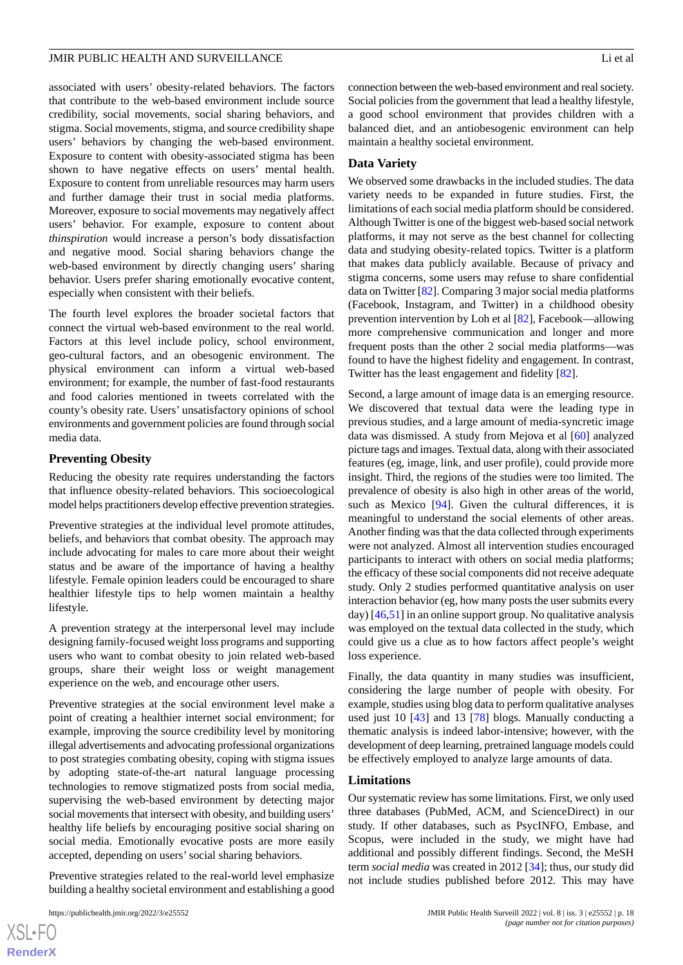associated with users' obesity-related behaviors. The factors that contribute to the web-based environment include source credibility, social movements, social sharing behaviors, and stigma. Social movements, stigma, and source credibility shape users' behaviors by changing the web-based environment. Exposure to content with obesity-associated stigma has been shown to have negative effects on users' mental health. Exposure to content from unreliable resources may harm users and further damage their trust in social media platforms. Moreover, exposure to social movements may negatively affect users' behavior. For example, exposure to content about *thinspiration* would increase a person's body dissatisfaction and negative mood. Social sharing behaviors change the web-based environment by directly changing users' sharing behavior. Users prefer sharing emotionally evocative content, especially when consistent with their beliefs.

The fourth level explores the broader societal factors that connect the virtual web-based environment to the real world. Factors at this level include policy, school environment, geo-cultural factors, and an obesogenic environment. The physical environment can inform a virtual web-based environment; for example, the number of fast-food restaurants and food calories mentioned in tweets correlated with the county's obesity rate. Users' unsatisfactory opinions of school environments and government policies are found through social media data.

#### **Preventing Obesity**

Reducing the obesity rate requires understanding the factors that influence obesity-related behaviors. This socioecological model helps practitioners develop effective prevention strategies.

Preventive strategies at the individual level promote attitudes, beliefs, and behaviors that combat obesity. The approach may include advocating for males to care more about their weight status and be aware of the importance of having a healthy lifestyle. Female opinion leaders could be encouraged to share healthier lifestyle tips to help women maintain a healthy lifestyle.

A prevention strategy at the interpersonal level may include designing family-focused weight loss programs and supporting users who want to combat obesity to join related web-based groups, share their weight loss or weight management experience on the web, and encourage other users.

Preventive strategies at the social environment level make a point of creating a healthier internet social environment; for example, improving the source credibility level by monitoring illegal advertisements and advocating professional organizations to post strategies combating obesity, coping with stigma issues by adopting state-of-the-art natural language processing technologies to remove stigmatized posts from social media, supervising the web-based environment by detecting major social movements that intersect with obesity, and building users' healthy life beliefs by encouraging positive social sharing on social media. Emotionally evocative posts are more easily accepted, depending on users'social sharing behaviors.

Preventive strategies related to the real-world level emphasize building a healthy societal environment and establishing a good

connection between the web-based environment and real society. Social policies from the government that lead a healthy lifestyle, a good school environment that provides children with a balanced diet, and an antiobesogenic environment can help maintain a healthy societal environment.

## **Data Variety**

We observed some drawbacks in the included studies. The data variety needs to be expanded in future studies. First, the limitations of each social media platform should be considered. Although Twitter is one of the biggest web-based social network platforms, it may not serve as the best channel for collecting data and studying obesity-related topics. Twitter is a platform that makes data publicly available. Because of privacy and stigma concerns, some users may refuse to share confidential data on Twitter [[82](#page-21-20)]. Comparing 3 major social media platforms (Facebook, Instagram, and Twitter) in a childhood obesity prevention intervention by Loh et al [\[82](#page-21-20)], Facebook—allowing more comprehensive communication and longer and more frequent posts than the other 2 social media platforms—was found to have the highest fidelity and engagement. In contrast, Twitter has the least engagement and fidelity [\[82](#page-21-20)].

Second, a large amount of image data is an emerging resource. We discovered that textual data were the leading type in previous studies, and a large amount of media-syncretic image data was dismissed. A study from Mejova et al [[60\]](#page-20-17) analyzed picture tags and images. Textual data, along with their associated features (eg, image, link, and user profile), could provide more insight. Third, the regions of the studies were too limited. The prevalence of obesity is also high in other areas of the world, such as Mexico [[94\]](#page-22-9). Given the cultural differences, it is meaningful to understand the social elements of other areas. Another finding was that the data collected through experiments were not analyzed. Almost all intervention studies encouraged participants to interact with others on social media platforms; the efficacy of these social components did not receive adequate study. Only 2 studies performed quantitative analysis on user interaction behavior (eg, how many posts the user submits every day) [[46,](#page-20-3)[51](#page-20-8)] in an online support group. No qualitative analysis was employed on the textual data collected in the study, which could give us a clue as to how factors affect people's weight loss experience.

Finally, the data quantity in many studies was insufficient, considering the large number of people with obesity. For example, studies using blog data to perform qualitative analyses used just 10 [[43\]](#page-20-0) and 13 [\[78](#page-21-16)] blogs. Manually conducting a thematic analysis is indeed labor-intensive; however, with the development of deep learning, pretrained language models could be effectively employed to analyze large amounts of data.

#### **Limitations**

Our systematic review has some limitations. First, we only used three databases (PubMed, ACM, and ScienceDirect) in our study. If other databases, such as PsycINFO, Embase, and Scopus, were included in the study, we might have had additional and possibly different findings. Second, the MeSH term *social media* was created in 2012 [[34\]](#page-19-15); thus, our study did not include studies published before 2012. This may have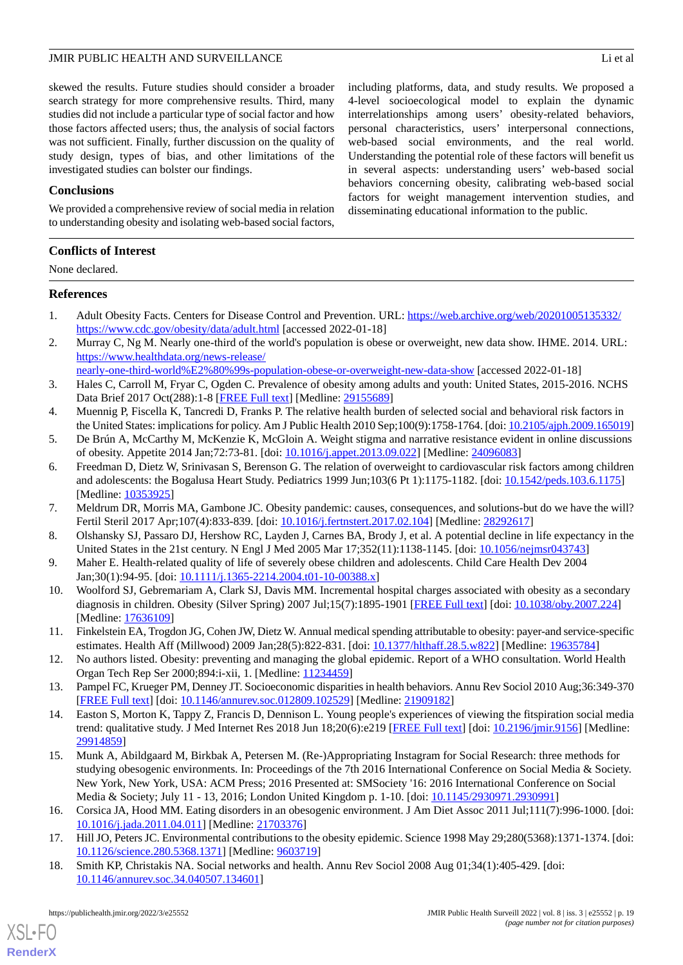including platforms, data, and study results. We proposed a 4-level socioecological model to explain the dynamic interrelationships among users' obesity-related behaviors, personal characteristics, users' interpersonal connections, web-based social environments, and the real world. Understanding the potential role of these factors will benefit us in several aspects: understanding users' web-based social behaviors concerning obesity, calibrating web-based social factors for weight management intervention studies, and

disseminating educational information to the public.

skewed the results. Future studies should consider a broader search strategy for more comprehensive results. Third, many studies did not include a particular type of social factor and how those factors affected users; thus, the analysis of social factors was not sufficient. Finally, further discussion on the quality of study design, types of bias, and other limitations of the investigated studies can bolster our findings.

## **Conclusions**

We provided a comprehensive review of social media in relation to understanding obesity and isolating web-based social factors,

## **Conflicts of Interest**

None declared.

## <span id="page-18-0"></span>**References**

- <span id="page-18-1"></span>1. Adult Obesity Facts. Centers for Disease Control and Prevention. URL: [https://web.archive.org/web/20201005135332/](https://web.archive.org/web/20201005135332/https://www.cdc.gov/obesity/data/adult.html) [https://www.cdc.gov/obesity/data/adult.html](https://web.archive.org/web/20201005135332/https://www.cdc.gov/obesity/data/adult.html) [accessed 2022-01-18]
- <span id="page-18-2"></span>2. Murray C, Ng M. Nearly one-third of the world's population is obese or overweight, new data show. IHME. 2014. URL: [https://www.healthdata.org/news-release/](https://www.healthdata.org/news-release/nearly-one-third-world%E2%80%99s-population-obese-or-overweight-new-data-show)

[nearly-one-third-world%E2%80%99s-population-obese-or-overweight-new-data-show](https://www.healthdata.org/news-release/nearly-one-third-world%E2%80%99s-population-obese-or-overweight-new-data-show) [accessed 2022-01-18]

- <span id="page-18-4"></span><span id="page-18-3"></span>3. Hales C, Carroll M, Fryar C, Ogden C. Prevalence of obesity among adults and youth: United States, 2015-2016. NCHS Data Brief 2017 Oct(288):1-8 [[FREE Full text\]](http://www.cdc.gov/nchs/data/databriefs/db288.pdf) [Medline: [29155689\]](http://www.ncbi.nlm.nih.gov/entrez/query.fcgi?cmd=Retrieve&db=PubMed&list_uids=29155689&dopt=Abstract)
- <span id="page-18-5"></span>4. Muennig P, Fiscella K, Tancredi D, Franks P. The relative health burden of selected social and behavioral risk factors in the United States: implications for policy. Am J Public Health 2010 Sep;100(9):1758-1764. [doi: [10.2105/ajph.2009.165019\]](http://dx.doi.org/10.2105/ajph.2009.165019)
- 5. De Brún A, McCarthy M, McKenzie K, McGloin A. Weight stigma and narrative resistance evident in online discussions of obesity. Appetite 2014 Jan;72:73-81. [doi: [10.1016/j.appet.2013.09.022](http://dx.doi.org/10.1016/j.appet.2013.09.022)] [Medline: [24096083](http://www.ncbi.nlm.nih.gov/entrez/query.fcgi?cmd=Retrieve&db=PubMed&list_uids=24096083&dopt=Abstract)]
- <span id="page-18-7"></span><span id="page-18-6"></span>6. Freedman D, Dietz W, Srinivasan S, Berenson G. The relation of overweight to cardiovascular risk factors among children and adolescents: the Bogalusa Heart Study. Pediatrics 1999 Jun;103(6 Pt 1):1175-1182. [doi: [10.1542/peds.103.6.1175](http://dx.doi.org/10.1542/peds.103.6.1175)] [Medline: [10353925](http://www.ncbi.nlm.nih.gov/entrez/query.fcgi?cmd=Retrieve&db=PubMed&list_uids=10353925&dopt=Abstract)]
- <span id="page-18-8"></span>7. Meldrum DR, Morris MA, Gambone JC. Obesity pandemic: causes, consequences, and solutions-but do we have the will? Fertil Steril 2017 Apr;107(4):833-839. [doi: [10.1016/j.fertnstert.2017.02.104](http://dx.doi.org/10.1016/j.fertnstert.2017.02.104)] [Medline: [28292617\]](http://www.ncbi.nlm.nih.gov/entrez/query.fcgi?cmd=Retrieve&db=PubMed&list_uids=28292617&dopt=Abstract)
- <span id="page-18-9"></span>8. Olshansky SJ, Passaro DJ, Hershow RC, Layden J, Carnes BA, Brody J, et al. A potential decline in life expectancy in the United States in the 21st century. N Engl J Med 2005 Mar 17;352(11):1138-1145. [doi: [10.1056/nejmsr043743\]](http://dx.doi.org/10.1056/nejmsr043743)
- <span id="page-18-10"></span>9. Maher E. Health-related quality of life of severely obese children and adolescents. Child Care Health Dev 2004 Jan;30(1):94-95. [doi: [10.1111/j.1365-2214.2004.t01-10-00388.x\]](http://dx.doi.org/10.1111/j.1365-2214.2004.t01-10-00388.x)
- <span id="page-18-11"></span>10. Woolford SJ, Gebremariam A, Clark SJ, Davis MM. Incremental hospital charges associated with obesity as a secondary diagnosis in children. Obesity (Silver Spring) 2007 Jul;15(7):1895-1901 [\[FREE Full text\]](https://doi.org/10.1038/oby.2007.224) [doi: [10.1038/oby.2007.224](http://dx.doi.org/10.1038/oby.2007.224)] [Medline: [17636109](http://www.ncbi.nlm.nih.gov/entrez/query.fcgi?cmd=Retrieve&db=PubMed&list_uids=17636109&dopt=Abstract)]
- <span id="page-18-13"></span><span id="page-18-12"></span>11. Finkelstein EA, Trogdon JG, Cohen JW, Dietz W. Annual medical spending attributable to obesity: payer-and service-specific estimates. Health Aff (Millwood) 2009 Jan;28(5):822-831. [doi: [10.1377/hlthaff.28.5.w822\]](http://dx.doi.org/10.1377/hlthaff.28.5.w822) [Medline: [19635784](http://www.ncbi.nlm.nih.gov/entrez/query.fcgi?cmd=Retrieve&db=PubMed&list_uids=19635784&dopt=Abstract)]
- 12. No authors listed. Obesity: preventing and managing the global epidemic. Report of a WHO consultation. World Health Organ Tech Rep Ser 2000;894:i-xii, 1. [Medline: [11234459](http://www.ncbi.nlm.nih.gov/entrez/query.fcgi?cmd=Retrieve&db=PubMed&list_uids=11234459&dopt=Abstract)]
- <span id="page-18-14"></span>13. Pampel FC, Krueger PM, Denney JT. Socioeconomic disparities in health behaviors. Annu Rev Sociol 2010 Aug;36:349-370 [[FREE Full text](http://europepmc.org/abstract/MED/21909182)] [doi: [10.1146/annurev.soc.012809.102529\]](http://dx.doi.org/10.1146/annurev.soc.012809.102529) [Medline: [21909182\]](http://www.ncbi.nlm.nih.gov/entrez/query.fcgi?cmd=Retrieve&db=PubMed&list_uids=21909182&dopt=Abstract)
- <span id="page-18-15"></span>14. Easton S, Morton K, Tappy Z, Francis D, Dennison L. Young people's experiences of viewing the fitspiration social media trend: qualitative study. J Med Internet Res 2018 Jun 18;20(6):e219 [\[FREE Full text\]](https://www.jmir.org/2018/6/e219/) [doi: [10.2196/jmir.9156\]](http://dx.doi.org/10.2196/jmir.9156) [Medline: [29914859](http://www.ncbi.nlm.nih.gov/entrez/query.fcgi?cmd=Retrieve&db=PubMed&list_uids=29914859&dopt=Abstract)]
- <span id="page-18-17"></span><span id="page-18-16"></span>15. Munk A, Abildgaard M, Birkbak A, Petersen M. (Re-)Appropriating Instagram for Social Research: three methods for studying obesogenic environments. In: Proceedings of the 7th 2016 International Conference on Social Media & Society. New York, New York, USA: ACM Press; 2016 Presented at: SMSociety '16: 2016 International Conference on Social Media & Society; July 11 - 13, 2016; London United Kingdom p. 1-10. [doi: [10.1145/2930971.2930991](http://dx.doi.org/10.1145/2930971.2930991)]
- 16. Corsica JA, Hood MM. Eating disorders in an obesogenic environment. J Am Diet Assoc 2011 Jul;111(7):996-1000. [doi: [10.1016/j.jada.2011.04.011](http://dx.doi.org/10.1016/j.jada.2011.04.011)] [Medline: [21703376](http://www.ncbi.nlm.nih.gov/entrez/query.fcgi?cmd=Retrieve&db=PubMed&list_uids=21703376&dopt=Abstract)]
- 17. Hill JO, Peters JC. Environmental contributions to the obesity epidemic. Science 1998 May 29;280(5368):1371-1374. [doi: [10.1126/science.280.5368.1371\]](http://dx.doi.org/10.1126/science.280.5368.1371) [Medline: [9603719](http://www.ncbi.nlm.nih.gov/entrez/query.fcgi?cmd=Retrieve&db=PubMed&list_uids=9603719&dopt=Abstract)]
- 18. Smith KP, Christakis NA. Social networks and health. Annu Rev Sociol 2008 Aug 01;34(1):405-429. [doi: [10.1146/annurev.soc.34.040507.134601](http://dx.doi.org/10.1146/annurev.soc.34.040507.134601)]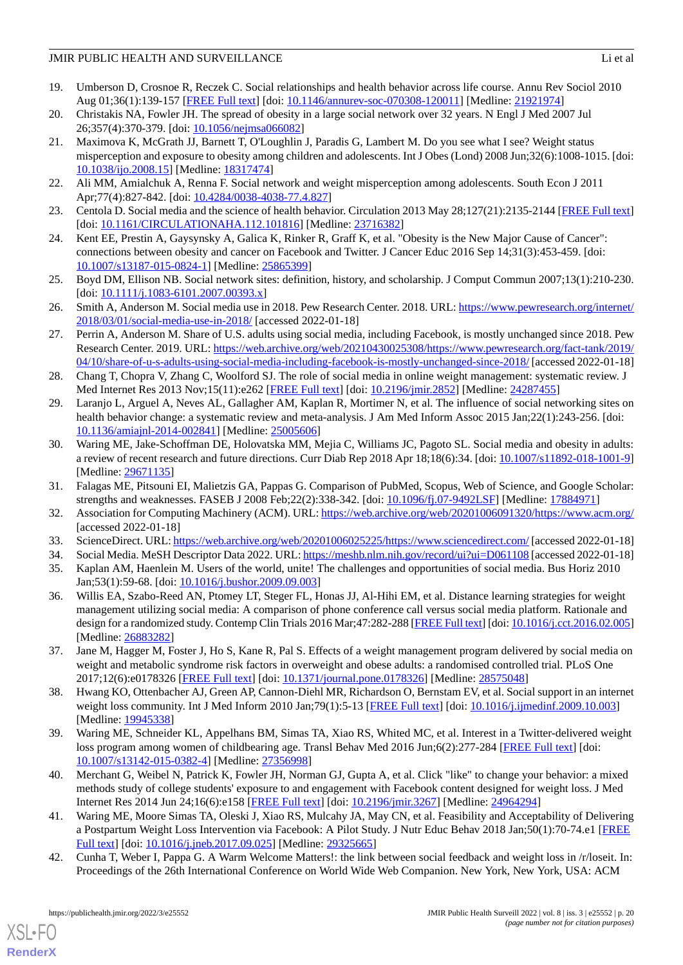- <span id="page-19-0"></span>19. Umberson D, Crosnoe R, Reczek C. Social relationships and health behavior across life course. Annu Rev Sociol 2010 Aug 01;36(1):139-157 [[FREE Full text](http://europepmc.org/abstract/MED/21921974)] [doi: [10.1146/annurev-soc-070308-120011\]](http://dx.doi.org/10.1146/annurev-soc-070308-120011) [Medline: [21921974\]](http://www.ncbi.nlm.nih.gov/entrez/query.fcgi?cmd=Retrieve&db=PubMed&list_uids=21921974&dopt=Abstract)
- <span id="page-19-2"></span><span id="page-19-1"></span>20. Christakis NA, Fowler JH. The spread of obesity in a large social network over 32 years. N Engl J Med 2007 Jul 26;357(4):370-379. [doi: [10.1056/nejmsa066082](http://dx.doi.org/10.1056/nejmsa066082)]
- 21. Maximova K, McGrath JJ, Barnett T, O'Loughlin J, Paradis G, Lambert M. Do you see what I see? Weight status misperception and exposure to obesity among children and adolescents. Int J Obes (Lond) 2008 Jun;32(6):1008-1015. [doi: [10.1038/ijo.2008.15](http://dx.doi.org/10.1038/ijo.2008.15)] [Medline: [18317474](http://www.ncbi.nlm.nih.gov/entrez/query.fcgi?cmd=Retrieve&db=PubMed&list_uids=18317474&dopt=Abstract)]
- <span id="page-19-4"></span><span id="page-19-3"></span>22. Ali MM, Amialchuk A, Renna F. Social network and weight misperception among adolescents. South Econ J 2011 Apr;77(4):827-842. [doi: [10.4284/0038-4038-77.4.827\]](http://dx.doi.org/10.4284/0038-4038-77.4.827)
- <span id="page-19-5"></span>23. Centola D. Social media and the science of health behavior. Circulation 2013 May 28;127(21):2135-2144 [[FREE Full text](http://circ.ahajournals.org/cgi/pmidlookup?view=long&pmid=23716382)] [doi: [10.1161/CIRCULATIONAHA.112.101816](http://dx.doi.org/10.1161/CIRCULATIONAHA.112.101816)] [Medline: [23716382\]](http://www.ncbi.nlm.nih.gov/entrez/query.fcgi?cmd=Retrieve&db=PubMed&list_uids=23716382&dopt=Abstract)
- <span id="page-19-6"></span>24. Kent EE, Prestin A, Gaysynsky A, Galica K, Rinker R, Graff K, et al. "Obesity is the New Major Cause of Cancer": connections between obesity and cancer on Facebook and Twitter. J Cancer Educ 2016 Sep 14;31(3):453-459. [doi: [10.1007/s13187-015-0824-1\]](http://dx.doi.org/10.1007/s13187-015-0824-1) [Medline: [25865399](http://www.ncbi.nlm.nih.gov/entrez/query.fcgi?cmd=Retrieve&db=PubMed&list_uids=25865399&dopt=Abstract)]
- <span id="page-19-7"></span>25. Boyd DM, Ellison NB. Social network sites: definition, history, and scholarship. J Comput Commun 2007;13(1):210-230. [doi: [10.1111/j.1083-6101.2007.00393.x](http://dx.doi.org/10.1111/j.1083-6101.2007.00393.x)]
- <span id="page-19-8"></span>26. Smith A, Anderson M. Social media use in 2018. Pew Research Center. 2018. URL: [https://www.pewresearch.org/internet/](https://www.pewresearch.org/internet/2018/03/01/social-media-use-in-2018/) [2018/03/01/social-media-use-in-2018/](https://www.pewresearch.org/internet/2018/03/01/social-media-use-in-2018/) [accessed 2022-01-18]
- <span id="page-19-9"></span>27. Perrin A, Anderson M. Share of U.S. adults using social media, including Facebook, is mostly unchanged since 2018. Pew Research Center. 2019. URL: [https://web.archive.org/web/20210430025308/https://www.pewresearch.org/fact-tank/2019/](https://web.archive.org/web/20210430025308/https://www.pewresearch.org/fact-tank/2019/04/10/share-of-u-s-adults-using-social-media-including-facebook-is-mostly-unchanged-since-2018/) [04/10/share-of-u-s-adults-using-social-media-including-facebook-is-mostly-unchanged-since-2018/](https://web.archive.org/web/20210430025308/https://www.pewresearch.org/fact-tank/2019/04/10/share-of-u-s-adults-using-social-media-including-facebook-is-mostly-unchanged-since-2018/) [accessed 2022-01-18]
- <span id="page-19-10"></span>28. Chang T, Chopra V, Zhang C, Woolford SJ. The role of social media in online weight management: systematic review. J Med Internet Res 2013 Nov;15(11):e262 [[FREE Full text\]](http://www.jmir.org/2013/11/e262/) [doi: [10.2196/jmir.2852](http://dx.doi.org/10.2196/jmir.2852)] [Medline: [24287455\]](http://www.ncbi.nlm.nih.gov/entrez/query.fcgi?cmd=Retrieve&db=PubMed&list_uids=24287455&dopt=Abstract)
- <span id="page-19-11"></span>29. Laranjo L, Arguel A, Neves AL, Gallagher AM, Kaplan R, Mortimer N, et al. The influence of social networking sites on health behavior change: a systematic review and meta-analysis. J Am Med Inform Assoc 2015 Jan;22(1):243-256. [doi: [10.1136/amiajnl-2014-002841](http://dx.doi.org/10.1136/amiajnl-2014-002841)] [Medline: [25005606](http://www.ncbi.nlm.nih.gov/entrez/query.fcgi?cmd=Retrieve&db=PubMed&list_uids=25005606&dopt=Abstract)]
- <span id="page-19-13"></span><span id="page-19-12"></span>30. Waring ME, Jake-Schoffman DE, Holovatska MM, Mejia C, Williams JC, Pagoto SL. Social media and obesity in adults: a review of recent research and future directions. Curr Diab Rep 2018 Apr 18;18(6):34. [doi: [10.1007/s11892-018-1001-9](http://dx.doi.org/10.1007/s11892-018-1001-9)] [Medline: [29671135](http://www.ncbi.nlm.nih.gov/entrez/query.fcgi?cmd=Retrieve&db=PubMed&list_uids=29671135&dopt=Abstract)]
- <span id="page-19-14"></span>31. Falagas ME, Pitsouni EI, Malietzis GA, Pappas G. Comparison of PubMed, Scopus, Web of Science, and Google Scholar: strengths and weaknesses. FASEB J 2008 Feb;22(2):338-342. [doi: [10.1096/fj.07-9492LSF\]](http://dx.doi.org/10.1096/fj.07-9492LSF) [Medline: [17884971\]](http://www.ncbi.nlm.nih.gov/entrez/query.fcgi?cmd=Retrieve&db=PubMed&list_uids=17884971&dopt=Abstract)
- <span id="page-19-16"></span><span id="page-19-15"></span>32. Association for Computing Machinery (ACM). URL:<https://web.archive.org/web/20201006091320/https://www.acm.org/> [accessed 2022-01-18]
- <span id="page-19-17"></span>33. ScienceDirect. URL:<https://web.archive.org/web/20201006025225/https://www.sciencedirect.com/> [accessed 2022-01-18]
- 34. Social Media. MeSH Descriptor Data 2022. URL:<https://meshb.nlm.nih.gov/record/ui?ui=D061108> [accessed 2022-01-18]
- 35. Kaplan AM, Haenlein M. Users of the world, unite! The challenges and opportunities of social media. Bus Horiz 2010 Jan;53(1):59-68. [doi: [10.1016/j.bushor.2009.09.003](http://dx.doi.org/10.1016/j.bushor.2009.09.003)]
- <span id="page-19-18"></span>36. Willis EA, Szabo-Reed AN, Ptomey LT, Steger FL, Honas JJ, Al-Hihi EM, et al. Distance learning strategies for weight management utilizing social media: A comparison of phone conference call versus social media platform. Rationale and design for a randomized study. Contemp Clin Trials 2016 Mar; 47:282-288 [[FREE Full text](http://europepmc.org/abstract/MED/26883282)] [doi: [10.1016/j.cct.2016.02.005\]](http://dx.doi.org/10.1016/j.cct.2016.02.005) [Medline: [26883282](http://www.ncbi.nlm.nih.gov/entrez/query.fcgi?cmd=Retrieve&db=PubMed&list_uids=26883282&dopt=Abstract)]
- <span id="page-19-20"></span><span id="page-19-19"></span>37. Jane M, Hagger M, Foster J, Ho S, Kane R, Pal S. Effects of a weight management program delivered by social media on weight and metabolic syndrome risk factors in overweight and obese adults: a randomised controlled trial. PLoS One 2017;12(6):e0178326 [\[FREE Full text](http://dx.plos.org/10.1371/journal.pone.0178326)] [doi: [10.1371/journal.pone.0178326\]](http://dx.doi.org/10.1371/journal.pone.0178326) [Medline: [28575048\]](http://www.ncbi.nlm.nih.gov/entrez/query.fcgi?cmd=Retrieve&db=PubMed&list_uids=28575048&dopt=Abstract)
- <span id="page-19-22"></span>38. Hwang KO, Ottenbacher AJ, Green AP, Cannon-Diehl MR, Richardson O, Bernstam EV, et al. Social support in an internet weight loss community. Int J Med Inform 2010 Jan;79(1):5-13 [\[FREE Full text\]](http://europepmc.org/abstract/MED/19945338) [doi: [10.1016/j.ijmedinf.2009.10.003](http://dx.doi.org/10.1016/j.ijmedinf.2009.10.003)] [Medline: [19945338](http://www.ncbi.nlm.nih.gov/entrez/query.fcgi?cmd=Retrieve&db=PubMed&list_uids=19945338&dopt=Abstract)]
- <span id="page-19-21"></span>39. Waring ME, Schneider KL, Appelhans BM, Simas TA, Xiao RS, Whited MC, et al. Interest in a Twitter-delivered weight loss program among women of childbearing age. Transl Behav Med 2016 Jun;6(2):277-284 [[FREE Full text](http://europepmc.org/abstract/MED/27356998)] [doi: [10.1007/s13142-015-0382-4\]](http://dx.doi.org/10.1007/s13142-015-0382-4) [Medline: [27356998](http://www.ncbi.nlm.nih.gov/entrez/query.fcgi?cmd=Retrieve&db=PubMed&list_uids=27356998&dopt=Abstract)]
- <span id="page-19-23"></span>40. Merchant G, Weibel N, Patrick K, Fowler JH, Norman GJ, Gupta A, et al. Click "like" to change your behavior: a mixed methods study of college students' exposure to and engagement with Facebook content designed for weight loss. J Med Internet Res 2014 Jun 24;16(6):e158 [\[FREE Full text](http://www.jmir.org/2014/6/e158/)] [doi: [10.2196/jmir.3267](http://dx.doi.org/10.2196/jmir.3267)] [Medline: [24964294](http://www.ncbi.nlm.nih.gov/entrez/query.fcgi?cmd=Retrieve&db=PubMed&list_uids=24964294&dopt=Abstract)]
- 41. Waring ME, Moore Simas TA, Oleski J, Xiao RS, Mulcahy JA, May CN, et al. Feasibility and Acceptability of Delivering a Postpartum Weight Loss Intervention via Facebook: A Pilot Study. J Nutr Educ Behav 2018 Jan;50(1):70-74.e1 [\[FREE](http://europepmc.org/abstract/MED/29325665) [Full text\]](http://europepmc.org/abstract/MED/29325665) [doi: [10.1016/j.jneb.2017.09.025](http://dx.doi.org/10.1016/j.jneb.2017.09.025)] [Medline: [29325665\]](http://www.ncbi.nlm.nih.gov/entrez/query.fcgi?cmd=Retrieve&db=PubMed&list_uids=29325665&dopt=Abstract)
- 42. Cunha T, Weber I, Pappa G. A Warm Welcome Matters!: the link between social feedback and weight loss in /r/loseit. In: Proceedings of the 26th International Conference on World Wide Web Companion. New York, New York, USA: ACM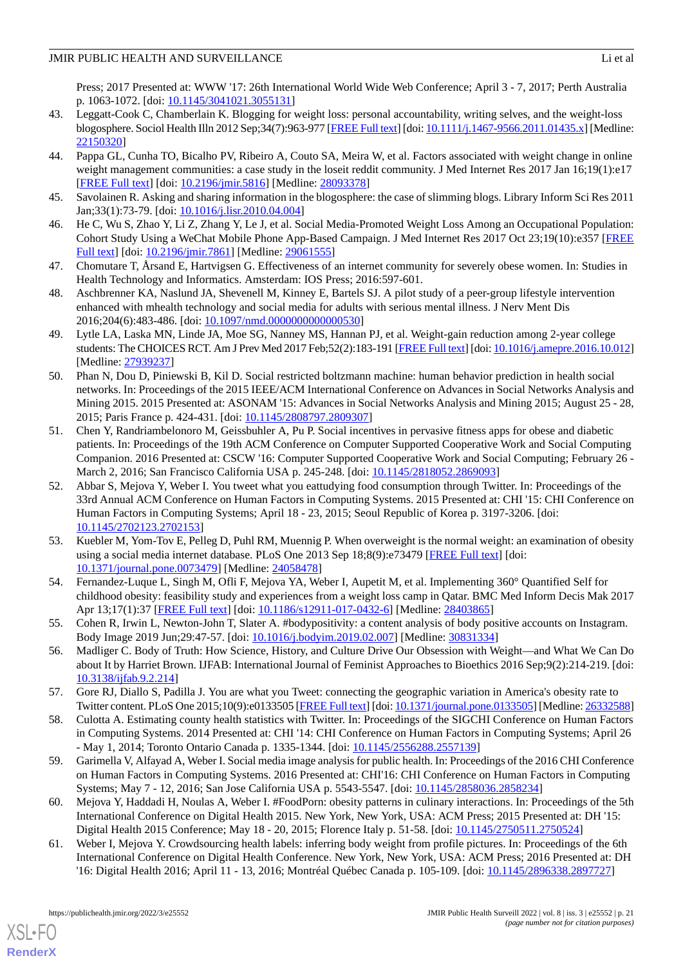Press; 2017 Presented at: WWW '17: 26th International World Wide Web Conference; April 3 - 7, 2017; Perth Australia p. 1063-1072. [doi: [10.1145/3041021.3055131](http://dx.doi.org/10.1145/3041021.3055131)]

- <span id="page-20-0"></span>43. Leggatt-Cook C, Chamberlain K. Blogging for weight loss: personal accountability, writing selves, and the weight-loss blogosphere. Sociol Health Illn 2012 Sep;34(7):963-977 [\[FREE Full text](https://doi.org/10.1111/j.1467-9566.2011.01435.x)] [doi: [10.1111/j.1467-9566.2011.01435.x](http://dx.doi.org/10.1111/j.1467-9566.2011.01435.x)] [Medline: [22150320](http://www.ncbi.nlm.nih.gov/entrez/query.fcgi?cmd=Retrieve&db=PubMed&list_uids=22150320&dopt=Abstract)]
- <span id="page-20-1"></span>44. Pappa GL, Cunha TO, Bicalho PV, Ribeiro A, Couto SA, Meira W, et al. Factors associated with weight change in online weight management communities: a case study in the loseit reddit community. J Med Internet Res 2017 Jan 16;19(1):e17 [[FREE Full text](http://www.jmir.org/2017/1/e17/)] [doi: [10.2196/jmir.5816](http://dx.doi.org/10.2196/jmir.5816)] [Medline: [28093378](http://www.ncbi.nlm.nih.gov/entrez/query.fcgi?cmd=Retrieve&db=PubMed&list_uids=28093378&dopt=Abstract)]
- <span id="page-20-3"></span><span id="page-20-2"></span>45. Savolainen R. Asking and sharing information in the blogosphere: the case of slimming blogs. Library Inform Sci Res 2011 Jan;33(1):73-79. [doi: [10.1016/j.lisr.2010.04.004](http://dx.doi.org/10.1016/j.lisr.2010.04.004)]
- <span id="page-20-4"></span>46. He C, Wu S, Zhao Y, Li Z, Zhang Y, Le J, et al. Social Media-Promoted Weight Loss Among an Occupational Population: Cohort Study Using a WeChat Mobile Phone App-Based Campaign. J Med Internet Res 2017 Oct 23;19(10):e357 [\[FREE](http://www.jmir.org/2017/10/e357/) [Full text\]](http://www.jmir.org/2017/10/e357/) [doi: [10.2196/jmir.7861](http://dx.doi.org/10.2196/jmir.7861)] [Medline: [29061555\]](http://www.ncbi.nlm.nih.gov/entrez/query.fcgi?cmd=Retrieve&db=PubMed&list_uids=29061555&dopt=Abstract)
- <span id="page-20-5"></span>47. Chomutare T, Årsand E, Hartvigsen G. Effectiveness of an internet community for severely obese women. In: Studies in Health Technology and Informatics. Amsterdam: IOS Press; 2016:597-601.
- <span id="page-20-6"></span>48. Aschbrenner KA, Naslund JA, Shevenell M, Kinney E, Bartels SJ. A pilot study of a peer-group lifestyle intervention enhanced with mhealth technology and social media for adults with serious mental illness. J Nerv Ment Dis 2016;204(6):483-486. [doi: [10.1097/nmd.0000000000000530](http://dx.doi.org/10.1097/nmd.0000000000000530)]
- <span id="page-20-7"></span>49. Lytle LA, Laska MN, Linde JA, Moe SG, Nanney MS, Hannan PJ, et al. Weight-gain reduction among 2-year college students: The CHOICES RCT. Am J Prev Med 2017 Feb;52(2):183-191 [[FREE Full text](http://europepmc.org/abstract/MED/27939237)] [doi: [10.1016/j.amepre.2016.10.012\]](http://dx.doi.org/10.1016/j.amepre.2016.10.012) [Medline: [27939237](http://www.ncbi.nlm.nih.gov/entrez/query.fcgi?cmd=Retrieve&db=PubMed&list_uids=27939237&dopt=Abstract)]
- <span id="page-20-8"></span>50. Phan N, Dou D, Piniewski B, Kil D. Social restricted boltzmann machine: human behavior prediction in health social networks. In: Proceedings of the 2015 IEEE/ACM International Conference on Advances in Social Networks Analysis and Mining 2015. 2015 Presented at: ASONAM '15: Advances in Social Networks Analysis and Mining 2015; August 25 - 28, 2015; Paris France p. 424-431. [doi: [10.1145/2808797.2809307](http://dx.doi.org/10.1145/2808797.2809307)]
- <span id="page-20-9"></span>51. Chen Y, Randriambelonoro M, Geissbuhler A, Pu P. Social incentives in pervasive fitness apps for obese and diabetic patients. In: Proceedings of the 19th ACM Conference on Computer Supported Cooperative Work and Social Computing Companion. 2016 Presented at: CSCW '16: Computer Supported Cooperative Work and Social Computing; February 26 - March 2, 2016; San Francisco California USA p. 245-248. [doi: [10.1145/2818052.2869093](http://dx.doi.org/10.1145/2818052.2869093)]
- <span id="page-20-13"></span>52. Abbar S, Mejova Y, Weber I. You tweet what you eattudying food consumption through Twitter. In: Proceedings of the 33rd Annual ACM Conference on Human Factors in Computing Systems. 2015 Presented at: CHI '15: CHI Conference on Human Factors in Computing Systems; April 18 - 23, 2015; Seoul Republic of Korea p. 3197-3206. [doi: [10.1145/2702123.2702153](http://dx.doi.org/10.1145/2702123.2702153)]
- <span id="page-20-10"></span>53. Kuebler M, Yom-Tov E, Pelleg D, Puhl RM, Muennig P. When overweight is the normal weight: an examination of obesity using a social media internet database. PLoS One 2013 Sep 18;8(9):e73479 [\[FREE Full text\]](https://dx.plos.org/10.1371/journal.pone.0073479) [doi: [10.1371/journal.pone.0073479\]](http://dx.doi.org/10.1371/journal.pone.0073479) [Medline: [24058478](http://www.ncbi.nlm.nih.gov/entrez/query.fcgi?cmd=Retrieve&db=PubMed&list_uids=24058478&dopt=Abstract)]
- <span id="page-20-12"></span><span id="page-20-11"></span>54. Fernandez-Luque L, Singh M, Ofli F, Mejova YA, Weber I, Aupetit M, et al. Implementing 360° Quantified Self for childhood obesity: feasibility study and experiences from a weight loss camp in Qatar. BMC Med Inform Decis Mak 2017 Apr 13;17(1):37 [[FREE Full text](https://bmcmedinformdecismak.biomedcentral.com/articles/10.1186/s12911-017-0432-6)] [doi: [10.1186/s12911-017-0432-6](http://dx.doi.org/10.1186/s12911-017-0432-6)] [Medline: [28403865](http://www.ncbi.nlm.nih.gov/entrez/query.fcgi?cmd=Retrieve&db=PubMed&list_uids=28403865&dopt=Abstract)]
- <span id="page-20-14"></span>55. Cohen R, Irwin L, Newton-John T, Slater A. #bodypositivity: a content analysis of body positive accounts on Instagram. Body Image 2019 Jun;29:47-57. [doi: [10.1016/j.bodyim.2019.02.007\]](http://dx.doi.org/10.1016/j.bodyim.2019.02.007) [Medline: [30831334](http://www.ncbi.nlm.nih.gov/entrez/query.fcgi?cmd=Retrieve&db=PubMed&list_uids=30831334&dopt=Abstract)]
- <span id="page-20-15"></span>56. Madliger C. Body of Truth: How Science, History, and Culture Drive Our Obsession with Weight—and What We Can Do about It by Harriet Brown. IJFAB: International Journal of Feminist Approaches to Bioethics 2016 Sep;9(2):214-219. [doi: [10.3138/ijfab.9.2.214](http://dx.doi.org/10.3138/ijfab.9.2.214)]
- <span id="page-20-16"></span>57. Gore RJ, Diallo S, Padilla J. You are what you Tweet: connecting the geographic variation in America's obesity rate to Twitter content. PLoS One 2015;10(9):e0133505 [\[FREE Full text](http://dx.plos.org/10.1371/journal.pone.0133505)] [doi: [10.1371/journal.pone.0133505\]](http://dx.doi.org/10.1371/journal.pone.0133505) [Medline: [26332588\]](http://www.ncbi.nlm.nih.gov/entrez/query.fcgi?cmd=Retrieve&db=PubMed&list_uids=26332588&dopt=Abstract)
- <span id="page-20-17"></span>58. Culotta A. Estimating county health statistics with Twitter. In: Proceedings of the SIGCHI Conference on Human Factors in Computing Systems. 2014 Presented at: CHI '14: CHI Conference on Human Factors in Computing Systems; April 26 - May 1, 2014; Toronto Ontario Canada p. 1335-1344. [doi: [10.1145/2556288.2557139](http://dx.doi.org/10.1145/2556288.2557139)]
- <span id="page-20-18"></span>59. Garimella V, Alfayad A, Weber I. Social media image analysis for public health. In: Proceedings of the 2016 CHI Conference on Human Factors in Computing Systems. 2016 Presented at: CHI'16: CHI Conference on Human Factors in Computing Systems; May 7 - 12, 2016; San Jose California USA p. 5543-5547. [doi: [10.1145/2858036.2858234\]](http://dx.doi.org/10.1145/2858036.2858234)
- 60. Mejova Y, Haddadi H, Noulas A, Weber I. #FoodPorn: obesity patterns in culinary interactions. In: Proceedings of the 5th International Conference on Digital Health 2015. New York, New York, USA: ACM Press; 2015 Presented at: DH '15: Digital Health 2015 Conference; May 18 - 20, 2015; Florence Italy p. 51-58. [doi: [10.1145/2750511.2750524](http://dx.doi.org/10.1145/2750511.2750524)]
- 61. Weber I, Mejova Y. Crowdsourcing health labels: inferring body weight from profile pictures. In: Proceedings of the 6th International Conference on Digital Health Conference. New York, New York, USA: ACM Press; 2016 Presented at: DH '16: Digital Health 2016; April 11 - 13, 2016; Montréal Québec Canada p. 105-109. [doi: [10.1145/2896338.2897727\]](http://dx.doi.org/10.1145/2896338.2897727)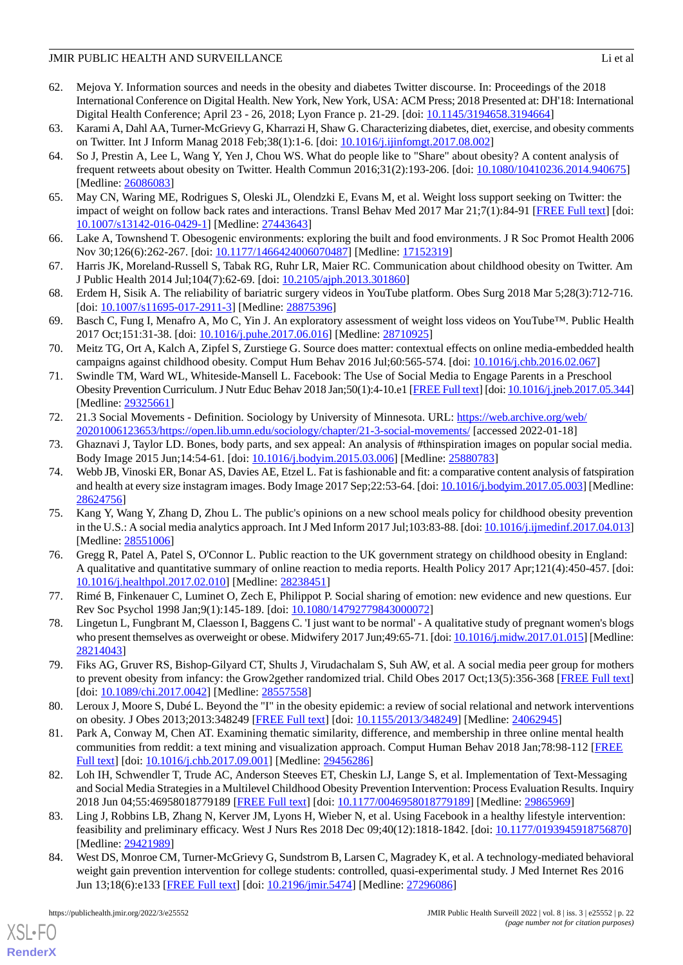- <span id="page-21-0"></span>62. Mejova Y. Information sources and needs in the obesity and diabetes Twitter discourse. In: Proceedings of the 2018 International Conference on Digital Health. New York, New York, USA: ACM Press; 2018 Presented at: DH'18: International Digital Health Conference; April 23 - 26, 2018; Lyon France p. 21-29. [doi: [10.1145/3194658.3194664\]](http://dx.doi.org/10.1145/3194658.3194664)
- <span id="page-21-2"></span><span id="page-21-1"></span>63. Karami A, Dahl AA, Turner-McGrievy G, Kharrazi H, Shaw G. Characterizing diabetes, diet, exercise, and obesity comments on Twitter. Int J Inform Manag 2018 Feb;38(1):1-6. [doi: [10.1016/j.ijinfomgt.2017.08.002](http://dx.doi.org/10.1016/j.ijinfomgt.2017.08.002)]
- 64. So J, Prestin A, Lee L, Wang Y, Yen J, Chou WS. What do people like to "Share" about obesity? A content analysis of frequent retweets about obesity on Twitter. Health Commun 2016;31(2):193-206. [doi: [10.1080/10410236.2014.940675\]](http://dx.doi.org/10.1080/10410236.2014.940675) [Medline: [26086083](http://www.ncbi.nlm.nih.gov/entrez/query.fcgi?cmd=Retrieve&db=PubMed&list_uids=26086083&dopt=Abstract)]
- <span id="page-21-4"></span><span id="page-21-3"></span>65. May CN, Waring ME, Rodrigues S, Oleski JL, Olendzki E, Evans M, et al. Weight loss support seeking on Twitter: the impact of weight on follow back rates and interactions. Transl Behav Med 2017 Mar 21;7(1):84-91 [[FREE Full text](http://europepmc.org/abstract/MED/27443643)] [doi: [10.1007/s13142-016-0429-1\]](http://dx.doi.org/10.1007/s13142-016-0429-1) [Medline: [27443643](http://www.ncbi.nlm.nih.gov/entrez/query.fcgi?cmd=Retrieve&db=PubMed&list_uids=27443643&dopt=Abstract)]
- <span id="page-21-5"></span>66. Lake A, Townshend T. Obesogenic environments: exploring the built and food environments. J R Soc Promot Health 2006 Nov 30;126(6):262-267. [doi: [10.1177/1466424006070487](http://dx.doi.org/10.1177/1466424006070487)] [Medline: [17152319](http://www.ncbi.nlm.nih.gov/entrez/query.fcgi?cmd=Retrieve&db=PubMed&list_uids=17152319&dopt=Abstract)]
- <span id="page-21-6"></span>67. Harris JK, Moreland-Russell S, Tabak RG, Ruhr LR, Maier RC. Communication about childhood obesity on Twitter. Am J Public Health 2014 Jul;104(7):62-69. [doi: [10.2105/ajph.2013.301860\]](http://dx.doi.org/10.2105/ajph.2013.301860)
- <span id="page-21-7"></span>68. Erdem H, Sisik A. The reliability of bariatric surgery videos in YouTube platform. Obes Surg 2018 Mar 5;28(3):712-716. [doi: [10.1007/s11695-017-2911-3](http://dx.doi.org/10.1007/s11695-017-2911-3)] [Medline: [28875396\]](http://www.ncbi.nlm.nih.gov/entrez/query.fcgi?cmd=Retrieve&db=PubMed&list_uids=28875396&dopt=Abstract)
- <span id="page-21-8"></span>69. Basch C, Fung I, Menafro A, Mo C, Yin J. An exploratory assessment of weight loss videos on YouTube™. Public Health 2017 Oct;151:31-38. [doi: [10.1016/j.puhe.2017.06.016](http://dx.doi.org/10.1016/j.puhe.2017.06.016)] [Medline: [28710925](http://www.ncbi.nlm.nih.gov/entrez/query.fcgi?cmd=Retrieve&db=PubMed&list_uids=28710925&dopt=Abstract)]
- <span id="page-21-9"></span>70. Meitz TG, Ort A, Kalch A, Zipfel S, Zurstiege G. Source does matter: contextual effects on online media-embedded health campaigns against childhood obesity. Comput Hum Behav 2016 Jul;60:565-574. [doi: [10.1016/j.chb.2016.02.067\]](http://dx.doi.org/10.1016/j.chb.2016.02.067)
- <span id="page-21-10"></span>71. Swindle TM, Ward WL, Whiteside-Mansell L. Facebook: The Use of Social Media to Engage Parents in a Preschool Obesity Prevention Curriculum. J Nutr Educ Behav 2018 Jan;50(1):4-10.e1 [\[FREE Full text\]](http://europepmc.org/abstract/MED/29325661) [doi: [10.1016/j.jneb.2017.05.344](http://dx.doi.org/10.1016/j.jneb.2017.05.344)] [Medline: [29325661](http://www.ncbi.nlm.nih.gov/entrez/query.fcgi?cmd=Retrieve&db=PubMed&list_uids=29325661&dopt=Abstract)]
- <span id="page-21-12"></span><span id="page-21-11"></span>72. 21.3 Social Movements - Definition. Sociology by University of Minnesota. URL: [https://web.archive.org/web/](https://web.archive.org/web/20201006123653/https://open.lib.umn.edu/sociology/chapter/21-3-social-movements/) [20201006123653/https://open.lib.umn.edu/sociology/chapter/21-3-social-movements/](https://web.archive.org/web/20201006123653/https://open.lib.umn.edu/sociology/chapter/21-3-social-movements/) [accessed 2022-01-18]
- 73. Ghaznavi J, Taylor LD. Bones, body parts, and sex appeal: An analysis of #thinspiration images on popular social media. Body Image 2015 Jun;14:54-61. [doi: [10.1016/j.bodyim.2015.03.006\]](http://dx.doi.org/10.1016/j.bodyim.2015.03.006) [Medline: [25880783](http://www.ncbi.nlm.nih.gov/entrez/query.fcgi?cmd=Retrieve&db=PubMed&list_uids=25880783&dopt=Abstract)]
- <span id="page-21-13"></span>74. Webb JB, Vinoski ER, Bonar AS, Davies AE, Etzel L. Fat is fashionable and fit: a comparative content analysis of fatspiration and health at every size instagram images. Body Image 2017 Sep;22:53-64. [doi: [10.1016/j.bodyim.2017.05.003](http://dx.doi.org/10.1016/j.bodyim.2017.05.003)] [Medline: [28624756](http://www.ncbi.nlm.nih.gov/entrez/query.fcgi?cmd=Retrieve&db=PubMed&list_uids=28624756&dopt=Abstract)]
- <span id="page-21-14"></span>75. Kang Y, Wang Y, Zhang D, Zhou L. The public's opinions on a new school meals policy for childhood obesity prevention in the U.S.: A social media analytics approach. Int J Med Inform 2017 Jul;103:83-88. [doi: [10.1016/j.ijmedinf.2017.04.013](http://dx.doi.org/10.1016/j.ijmedinf.2017.04.013)] [Medline: [28551006](http://www.ncbi.nlm.nih.gov/entrez/query.fcgi?cmd=Retrieve&db=PubMed&list_uids=28551006&dopt=Abstract)]
- <span id="page-21-16"></span><span id="page-21-15"></span>76. Gregg R, Patel A, Patel S, O'Connor L. Public reaction to the UK government strategy on childhood obesity in England: A qualitative and quantitative summary of online reaction to media reports. Health Policy 2017 Apr;121(4):450-457. [doi: [10.1016/j.healthpol.2017.02.010\]](http://dx.doi.org/10.1016/j.healthpol.2017.02.010) [Medline: [28238451\]](http://www.ncbi.nlm.nih.gov/entrez/query.fcgi?cmd=Retrieve&db=PubMed&list_uids=28238451&dopt=Abstract)
- <span id="page-21-17"></span>77. Rimé B, Finkenauer C, Luminet O, Zech E, Philippot P. Social sharing of emotion: new evidence and new questions. Eur Rev Soc Psychol 1998 Jan;9(1):145-189. [doi: [10.1080/14792779843000072\]](http://dx.doi.org/10.1080/14792779843000072)
- <span id="page-21-18"></span>78. Lingetun L, Fungbrant M, Claesson I, Baggens C. 'I just want to be normal' - A qualitative study of pregnant women's blogs who present themselves as overweight or obese. Midwifery 2017 Jun;49:65-71. [doi: [10.1016/j.midw.2017.01.015\]](http://dx.doi.org/10.1016/j.midw.2017.01.015) [Medline: [28214043](http://www.ncbi.nlm.nih.gov/entrez/query.fcgi?cmd=Retrieve&db=PubMed&list_uids=28214043&dopt=Abstract)]
- <span id="page-21-19"></span>79. Fiks AG, Gruver RS, Bishop-Gilyard CT, Shults J, Virudachalam S, Suh AW, et al. A social media peer group for mothers to prevent obesity from infancy: the Grow2gether randomized trial. Child Obes 2017 Oct;13(5):356-368 [[FREE Full text](http://europepmc.org/abstract/MED/28557558)] [doi: [10.1089/chi.2017.0042](http://dx.doi.org/10.1089/chi.2017.0042)] [Medline: [28557558](http://www.ncbi.nlm.nih.gov/entrez/query.fcgi?cmd=Retrieve&db=PubMed&list_uids=28557558&dopt=Abstract)]
- <span id="page-21-20"></span>80. Leroux J, Moore S, Dubé L. Beyond the "I" in the obesity epidemic: a review of social relational and network interventions on obesity. J Obes 2013;2013:348249 [\[FREE Full text\]](https://doi.org/10.1155/2013/348249) [doi: [10.1155/2013/348249\]](http://dx.doi.org/10.1155/2013/348249) [Medline: [24062945\]](http://www.ncbi.nlm.nih.gov/entrez/query.fcgi?cmd=Retrieve&db=PubMed&list_uids=24062945&dopt=Abstract)
- <span id="page-21-21"></span>81. Park A, Conway M, Chen AT. Examining thematic similarity, difference, and membership in three online mental health communities from reddit: a text mining and visualization approach. Comput Human Behav 2018 Jan;78:98-112 [[FREE](http://europepmc.org/abstract/MED/29456286) [Full text\]](http://europepmc.org/abstract/MED/29456286) [doi: [10.1016/j.chb.2017.09.001](http://dx.doi.org/10.1016/j.chb.2017.09.001)] [Medline: [29456286](http://www.ncbi.nlm.nih.gov/entrez/query.fcgi?cmd=Retrieve&db=PubMed&list_uids=29456286&dopt=Abstract)]
- <span id="page-21-22"></span>82. Loh IH, Schwendler T, Trude AC, Anderson Steeves ET, Cheskin LJ, Lange S, et al. Implementation of Text-Messaging and Social Media Strategies in a Multilevel Childhood Obesity Prevention Intervention: Process Evaluation Results. Inquiry 2018 Jun 04;55:46958018779189 [[FREE Full text](https://journals.sagepub.com/doi/10.1177/0046958018779189?url_ver=Z39.88-2003&rfr_id=ori:rid:crossref.org&rfr_dat=cr_pub%3dpubmed)] [doi: [10.1177/0046958018779189\]](http://dx.doi.org/10.1177/0046958018779189) [Medline: [29865969\]](http://www.ncbi.nlm.nih.gov/entrez/query.fcgi?cmd=Retrieve&db=PubMed&list_uids=29865969&dopt=Abstract)
- 83. Ling J, Robbins LB, Zhang N, Kerver JM, Lyons H, Wieber N, et al. Using Facebook in a healthy lifestyle intervention: feasibility and preliminary efficacy. West J Nurs Res 2018 Dec 09;40(12):1818-1842. [doi: [10.1177/0193945918756870\]](http://dx.doi.org/10.1177/0193945918756870) [Medline: [29421989](http://www.ncbi.nlm.nih.gov/entrez/query.fcgi?cmd=Retrieve&db=PubMed&list_uids=29421989&dopt=Abstract)]
- 84. West DS, Monroe CM, Turner-McGrievy G, Sundstrom B, Larsen C, Magradey K, et al. A technology-mediated behavioral weight gain prevention intervention for college students: controlled, quasi-experimental study. J Med Internet Res 2016 Jun 13;18(6):e133 [\[FREE Full text\]](https://www.jmir.org/2016/6/e133/) [doi: [10.2196/jmir.5474\]](http://dx.doi.org/10.2196/jmir.5474) [Medline: [27296086\]](http://www.ncbi.nlm.nih.gov/entrez/query.fcgi?cmd=Retrieve&db=PubMed&list_uids=27296086&dopt=Abstract)